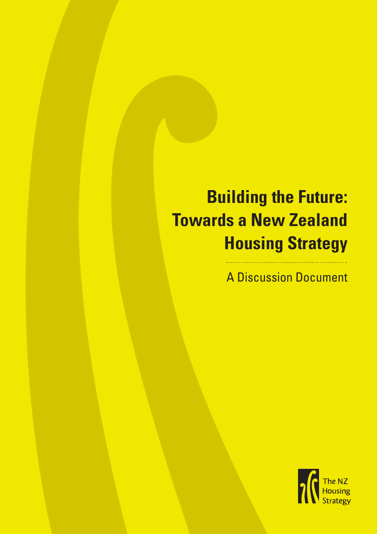# **Building the Future: Towards a New Zealand Housing Strategy**

A Discussion Document

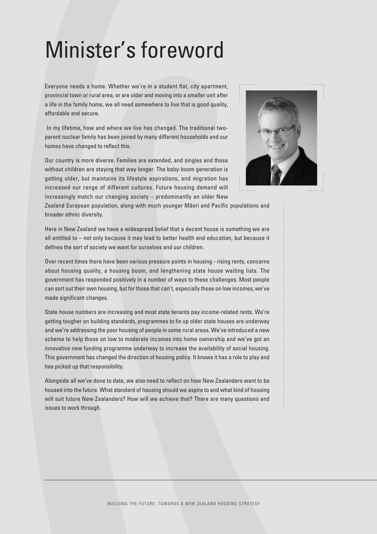# Minister's foreword

Everyone needs a home. Whether we're in a student flat, city apartment, provincial town or rural area, or are older and moving into a smaller unit after a life in the family home, we all need somewhere to live that is good quality, affordable and secure.

In my lifetime, how and where we live has changed. The traditional twoparent nuclear family has been joined by many different households and our homes have changed to reflect this.

Our country is more diverse. Families are extended, and singles and those without children are staying that way longer. The baby-boom generation is getting older, but maintains its lifestyle aspirations, and migration has increased our range of different cultures. Future housing demand will increasingly match our changing society – predominantly an older New



Zealand European population, along with much younger Māori and Pacific populations and broader ethnic diversity.

Here in New Zealand we have a widespread belief that a decent house is something we are all entitled to – not only because it may lead to better health and education, but because it defines the sort of society we want for ourselves and our children.

Over recent times there have been various pressure points in housing - rising rents, concerns about housing quality, a housing boom, and lengthening state house waiting lists. The government has responded positively in a number of ways to these challenges. Most people can sort out their own housing, but for those that can't, especially those on low incomes, we've made significant changes.

State house numbers are increasing and most state tenants pay income-related rents. We're getting tougher on building standards, programmes to fix up older state houses are underway and we're addressing the poor housing of people in some rural areas. We've introduced a new scheme to help those on low to moderate incomes into home ownership and we've got an innovative new funding programme underway to increase the availability of social housing. This government has changed the direction of housing policy. It knows it has a role to play and has picked up that responsibility.

Alongside all we've done to date, we also need to reflect on how New Zealanders want to be housed into the future. What standard of housing should we aspire to and what kind of housing will suit future New Zealanders? How will we achieve that? There are many questions and issues to work through.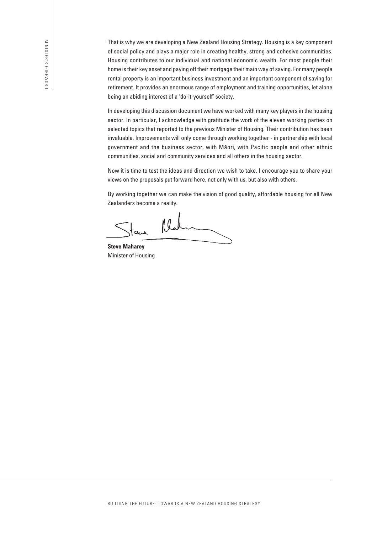That is why we are developing a New Zealand Housing Strategy. Housing is a key component of social policy and plays a major role in creating healthy, strong and cohesive communities. Housing contributes to our individual and national economic wealth. For most people their home is their key asset and paying off their mortgage their main way of saving. For many people rental property is an important business investment and an important component of saving for retirement. It provides an enormous range of employment and training opportunities, let alone being an abiding interest of a 'do-it-yourself' society.

In developing this discussion document we have worked with many key players in the housing sector. In particular, I acknowledge with gratitude the work of the eleven working parties on selected topics that reported to the previous Minister of Housing. Their contribution has been invaluable. Improvements will only come through working together - in partnership with local government and the business sector, with Māori, with Pacific people and other ethnic communities, social and community services and all others in the housing sector.

Now it is time to test the ideas and direction we wish to take. I encourage you to share your views on the proposals put forward here, not only with us, but also with others.

By working together we can make the vision of good quality, affordable housing for all New Zealanders become a reality.

 $l/l$ ۔<br>اعت

**Steve Maharey** Minister of Housing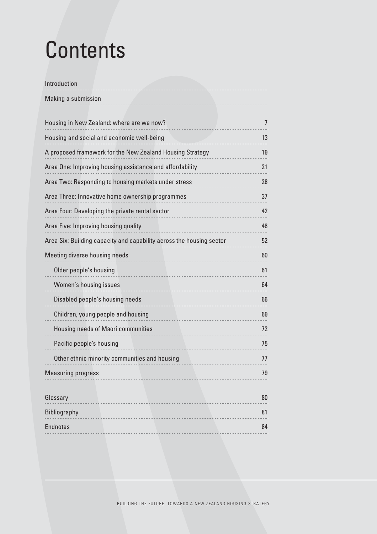# **Contents**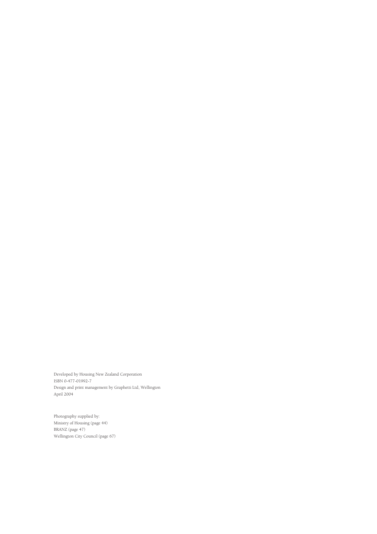Developed by Housing New Zealand Corporation ISBN 0-477-01992-7 Design and print management by Graphetti Ltd, Wellington April 2004

Photography supplied by: Ministry of Housing (page 44) BRANZ (page 47) Wellington City Council (page 67)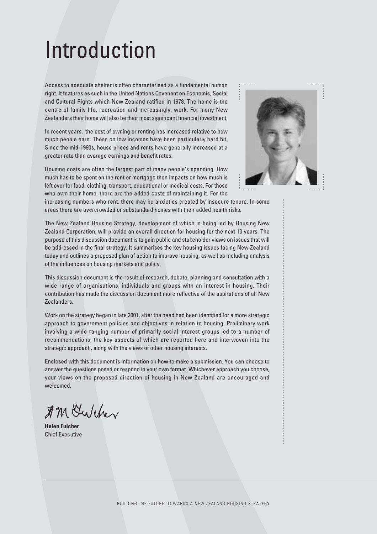# Introduction

Access to adequate shelter is often characterised as a fundamental human right. It features as such in the United Nations Covenant on Economic, Social and Cultural Rights which New Zealand ratified in 1978. The home is the centre of family life, recreation and increasingly, work. For many New Zealanders their home will also be their most significant financial investment.

In recent years, the cost of owning or renting has increased relative to how much people earn. Those on low incomes have been particularly hard hit. Since the mid-1990s, house prices and rents have generally increased at a greater rate than average earnings and benefit rates.

Housing costs are often the largest part of many people's spending. How much has to be spent on the rent or mortgage then impacts on how much is left over for food, clothing, transport, educational or medical costs. For those who own their home, there are the added costs of maintaining it. For the



increasing numbers who rent, there may be anxieties created by insecure tenure. In some areas there are overcrowded or substandard homes with their added health risks.

The New Zealand Housing Strategy, development of which is being led by Housing New Zealand Corporation, will provide an overall direction for housing for the next 10 years. The purpose of this discussion document is to gain public and stakeholder views on issues that will be addressed in the final strategy. It summarises the key housing issues facing New Zealand today and outlines a proposed plan of action to improve housing, as well as including analysis of the influences on housing markets and policy.

This discussion document is the result of research, debate, planning and consultation with a wide range of organisations, individuals and groups with an interest in housing. Their contribution has made the discussion document more reflective of the aspirations of all New Zealanders.

Work on the strategy began in late 2001, after the need had been identified for a more strategic approach to government policies and objectives in relation to housing. Preliminary work involving a wide-ranging number of primarily social interest groups led to a number of recommendations, the key aspects of which are reported here and interwoven into the strategic approach, along with the views of other housing interests.

Enclosed with this document is information on how to make a submission. You can choose to answer the questions posed or respond in your own format. Whichever approach you choose, your views on the proposed direction of housing in New Zealand are encouraged and welcomed.

\$ M Gulcher

**Helen Fulcher** Chief Executive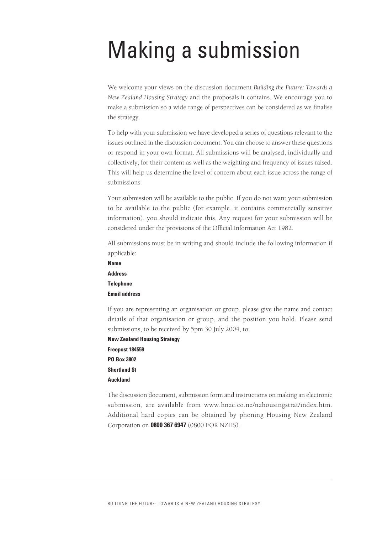# Making a submission

We welcome your views on the discussion document *Building the Future: Towards a New Zealand Housing Strategy* and the proposals it contains. We encourage you to make a submission so a wide range of perspectives can be considered as we finalise the strategy.

To help with your submission we have developed a series of questions relevant to the issues outlined in the discussion document. You can choose to answer these questions or respond in your own format. All submissions will be analysed, individually and collectively, for their content as well as the weighting and frequency of issues raised. This will help us determine the level of concern about each issue across the range of submissions.

Your submission will be available to the public. If you do not want your submission to be available to the public (for example, it contains commercially sensitive information), you should indicate this. Any request for your submission will be considered under the provisions of the Official Information Act 1982.

All submissions must be in writing and should include the following information if applicable:

**Name Address Telephone Email address**

If you are representing an organisation or group, please give the name and contact details of that organisation or group, and the position you hold. Please send submissions, to be received by 5pm 30 July 2004, to:

**New Zealand Housing Strategy Freepost 184559 PO Box 3802 Shortland St Auckland**

The discussion document, submission form and instructions on making an electronic submission, are available from www.hnzc.co.nz/nzhousingstrat/index.htm. Additional hard copies can be obtained by phoning Housing New Zealand Corporation on **0800 367 6947** (0800 FOR NZHS).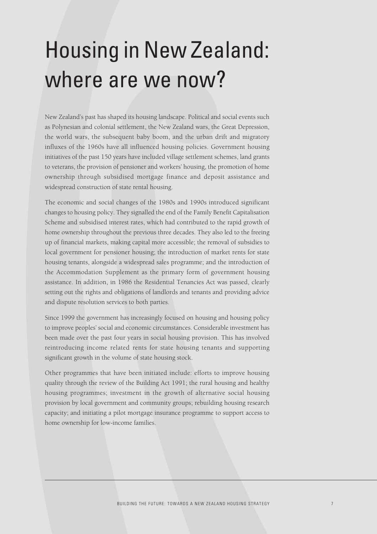# Housing in New Zealand: where are we now?

New Zealand's past has shaped its housing landscape. Political and social events such as Polynesian and colonial settlement, the New Zealand wars, the Great Depression, the world wars, the subsequent baby boom, and the urban drift and migratory influxes of the 1960s have all influenced housing policies. Government housing initiatives of the past 150 years have included village settlement schemes, land grants to veterans, the provision of pensioner and workers' housing, the promotion of home ownership through subsidised mortgage finance and deposit assistance and widespread construction of state rental housing.

The economic and social changes of the 1980s and 1990s introduced significant changes to housing policy. They signalled the end of the Family Benefit Capitalisation Scheme and subsidised interest rates, which had contributed to the rapid growth of home ownership throughout the previous three decades. They also led to the freeing up of financial markets, making capital more accessible; the removal of subsidies to local government for pensioner housing; the introduction of market rents for state housing tenants, alongside a widespread sales programme; and the introduction of the Accommodation Supplement as the primary form of government housing assistance. In addition, in 1986 the Residential Tenancies Act was passed, clearly setting out the rights and obligations of landlords and tenants and providing advice and dispute resolution services to both parties.

Since 1999 the government has increasingly focused on housing and housing policy to improve peoples' social and economic circumstances. Considerable investment has been made over the past four years in social housing provision. This has involved reintroducing income related rents for state housing tenants and supporting significant growth in the volume of state housing stock.

Other programmes that have been initiated include: efforts to improve housing quality through the review of the Building Act 1991; the rural housing and healthy housing programmes; investment in the growth of alternative social housing provision by local government and community groups; rebuilding housing research capacity; and initiating a pilot mortgage insurance programme to support access to home ownership for low-income families.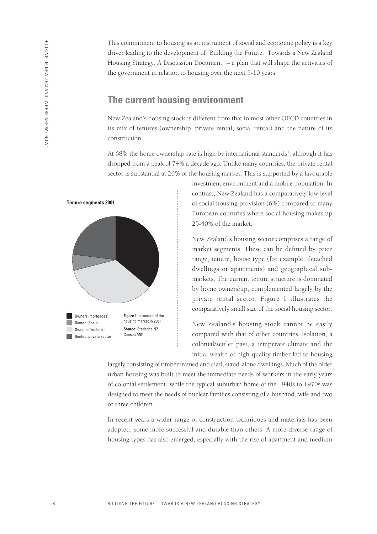This commitment to housing as an instrument of social and economic policy is a key driver leading to the development of "Building the Future: Towards a New Zealand Housing Strategy, A Discussion Document" – a plan that will shape the activities of the government in relation to housing over the next 5-10 years.

#### **The current housing environment**

New Zealand's housing stock is different from that in most other OECD countries in its mix of tenures (ownership, private rental, social rental) and the nature of its construction.

At 68% the home ownership rate is high by international standards<sup>1</sup>, although it has dropped from a peak of 74% a decade ago. Unlike many countries, the private rental sector is substantial at 26% of the housing market. This is supported by a favourable



investment environment and a mobile population. In contrast, New Zealand has a comparatively low level of social housing provision (6%) compared to many European countries where social housing makes up 25-40% of the market.

New Zealand's housing sector comprises a range of market segments. These can be defined by price range, tenure, house type (for example, detached dwellings or apartments) and geographical submarkets. The current tenure structure is dominated by home ownership, complemented largely by the private rental sector. Figure 1 illustrates the comparatively small size of the social housing sector.

New Zealand's housing stock cannot be easily compared with that of other countries. Isolation, a colonial/settler past, a temperate climate and the initial wealth of high-quality timber led to housing

largely consisting of timber framed and clad, stand-alone dwellings. Much of the older urban housing was built to meet the immediate needs of workers in the early years of colonial settlement, while the typical suburban home of the 1940s to 1970s was designed to meet the needs of nuclear families consisting of a husband, wife and two or three children.

In recent years a wider range of construction techniques and materials has been adopted, some more successful and durable than others. A more diverse range of housing types has also emerged, especially with the rise of apartment and medium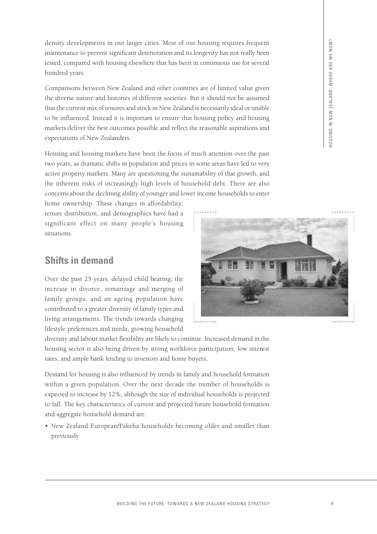density developments in our larger cities. Most of our housing requires frequent maintenance to prevent significant deterioration and its longevity has not really been tested, compared with housing elsewhere that has been in continuous use for several hundred years.

Comparisons between New Zealand and other countries are of limited value given the diverse nature and histories of different societies. But it should not be assumed that the current mix of tenures and stock in New Zealand is necessarily ideal or unable to be influenced. Instead it is important to ensure that housing policy and housing markets deliver the best outcomes possible and reflect the reasonable aspirations and expectations of New Zealanders.

Housing and housing markets have been the focus of much attention over the past two years, as dramatic shifts in population and prices in some areas have led to very active property markets. Many are questioning the sustainability of that growth, and the inherent risks of increasingly high levels of household debt. There are also concerns about the declining ability of younger and lower income households to enter

home ownership. These changes in affordability, tenure distribution, and demographics have had a significant effect on many people's housing situations.

# **Shifts in demand**

Over the past 25 years, delayed child bearing, the increase in divorce, remarriage and merging of family groups, and an ageing population have contributed to a greater diversity of family types and living arrangements. The trends towards changing lifestyle preferences and needs, growing household

diversity and labour market flexibility are likely to continue. Increased demand in the housing sector is also being driven by strong workforce participation, low interest rates, and ample bank lending to investors and home buyers.

Demand for housing is also influenced by trends in family and household formation within a given population. Over the next decade the number of households is expected to increase by 12%, although the size of individual households is projected to fall. The key characteristics of current and projected future household formation and aggregate household demand are:

• New Zealand European/Pakeha households becoming older and smaller than previously

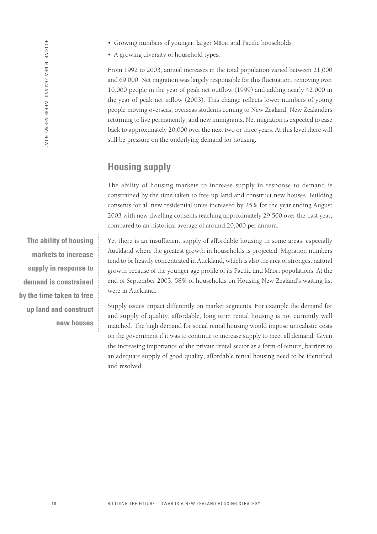• A growing diversity of household types.

From 1992 to 2003, annual increases in the total population varied between 21,000 and 69,000. Net migration was largely responsible for this fluctuation, removing over 10,000 people in the year of peak net outflow (1999) and adding nearly 42,000 in the year of peak net inflow (2003). This change reflects lower numbers of young people moving overseas, overseas students coming to New Zealand, New Zealanders returning to live permanently, and new immigrants. Net migration is expected to ease back to approximately 20,000 over the next two or three years. At this level there will still be pressure on the underlying demand for housing.

### **Housing supply**

The ability of housing markets to increase supply in response to demand is constrained by the time taken to free up land and construct new houses. Building consents for all new residential units increased by 25% for the year ending August 2003 with new dwelling consents reaching approximately 29,500 over the past year, compared to an historical average of around 20,000 per annum.

Yet there is an insufficient supply of affordable housing in some areas, especially Auckland where the greatest growth in households is projected. Migration numbers tend to be heavily concentrated in Auckland, which is also the area of strongest natural growth because of the younger age profile of its Pacific and Māori populations. At the end of September 2003, 58% of households on Housing New Zealand's waiting list were in Auckland.

Supply issues impact differently on market segments. For example the demand for and supply of quality, affordable, long term rental housing is not currently well matched. The high demand for social rental housing would impose unrealistic costs on the government if it was to continue to increase supply to meet all demand. Given the increasing importance of the private rental sector as a form of tenure, barriers to an adequate supply of good quality, affordable rental housing need to be identified and resolved.

**The ability of housing markets to increase supply in response to demand is constrained by the time taken to free up land and construct new houses**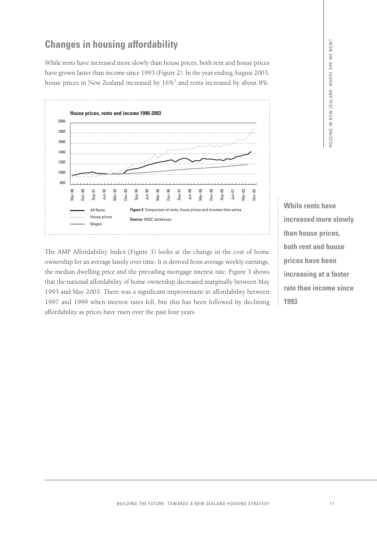## **Changes in housing affordability**

While rents have increased more slowly than house prices, both rent and house prices have grown faster than income since 1993 (Figure 2). In the year ending August 2003, house prices in New Zealand increased by  $16\%$ <sup>2</sup> and rents increased by about 8%.



**increased more slowly than house prices, both rent and house prices have been increasing at a faster rate than income since 1993**

**While rents have**

The AMP Affordability Index (Figure 3) looks at the change in the cost of home ownership for an average family over time. It is derived from average weekly earnings, the median dwelling price and the prevailing mortgage interest rate. Figure 3 shows that the national affordability of home ownership decreased marginally between May 1993 and May 2003. There was a significant improvement in affordability between 1997 and 1999 when interest rates fell, but this has been followed by declining affordability as prices have risen over the past four years.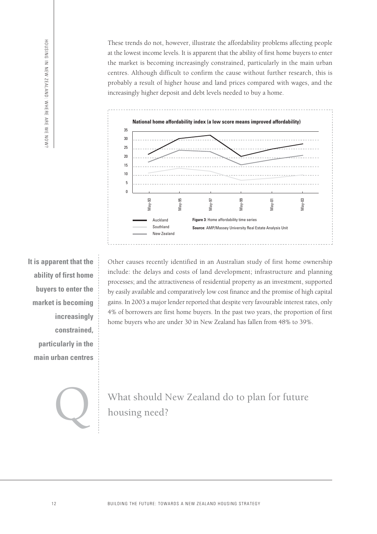These trends do not, however, illustrate the affordability problems affecting people at the lowest income levels. It is apparent that the ability of first home buyers to enter the market is becoming increasingly constrained, particularly in the main urban centres. Although difficult to confirm the cause without further research, this is probably a result of higher house and land prices compared with wages, and the increasingly higher deposit and debt levels needed to buy a home.



**It is apparent that the ability of first home buyers to enter the market is becoming increasingly constrained, particularly in the main urban centres**

Other causes recently identified in an Australian study of first home ownership include: the delays and costs of land development; infrastructure and planning processes; and the attractiveness of residential property as an investment, supported by easily available and comparatively low cost finance and the promise of high capital gains. In 2003 a major lender reported that despite very favourable interest rates, only 4% of borrowers are first home buyers. In the past two years, the proportion of first home buyers who are under 30 in New Zealand has fallen from 48% to 39%. <sup>os</sup><br>
auckland<br>
southland<br>
southland<br>
southland<br>
southland<br>
southland<br>
New Zeal<br>
Direction<br>
include: the delays are<br>
processes; and the attra<br>
gains. In 2003 a major l<br>
4% of borrowers are fit<br>
home buyers who are u<br>
home

What should New Zealand do to plan for future<br>housing need?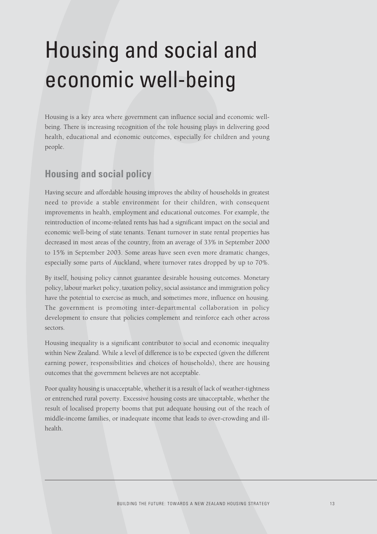# Housing and social and economic well-being

Housing is a key area where government can influence social and economic wellbeing. There is increasing recognition of the role housing plays in delivering good health, educational and economic outcomes, especially for children and young people.

# **Housing and social policy**

Having secure and affordable housing improves the ability of households in greatest need to provide a stable environment for their children, with consequent improvements in health, employment and educational outcomes. For example, the reintroduction of income-related rents has had a significant impact on the social and economic well-being of state tenants. Tenant turnover in state rental properties has decreased in most areas of the country, from an average of 33% in September 2000 to 15% in September 2003. Some areas have seen even more dramatic changes, especially some parts of Auckland, where turnover rates dropped by up to 70%.

By itself, housing policy cannot guarantee desirable housing outcomes. Monetary policy, labour market policy, taxation policy, social assistance and immigration policy have the potential to exercise as much, and sometimes more, influence on housing. The government is promoting inter-departmental collaboration in policy development to ensure that policies complement and reinforce each other across sectors.

Housing inequality is a significant contributor to social and economic inequality within New Zealand. While a level of difference is to be expected (given the different earning power, responsibilities and choices of households), there are housing outcomes that the government believes are not acceptable.

Poor quality housing is unacceptable, whether it is a result of lack of weather-tightness or entrenched rural poverty. Excessive housing costs are unacceptable, whether the result of localised property booms that put adequate housing out of the reach of middle-income families, or inadequate income that leads to over-crowding and illhealth.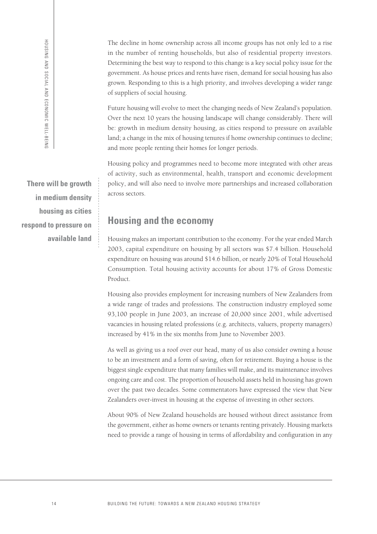The decline in home ownership across all income groups has not only led to a rise in the number of renting households, but also of residential property investors. Determining the best way to respond to this change is a key social policy issue for the government. As house prices and rents have risen, demand for social housing has also grown. Responding to this is a high priority, and involves developing a wider range of suppliers of social housing.

Future housing will evolve to meet the changing needs of New Zealand's population. Over the next 10 years the housing landscape will change considerably. There will be: growth in medium density housing, as cities respond to pressure on available land; a change in the mix of housing tenures if home ownership continues to decline; and more people renting their homes for longer periods.

Housing policy and programmes need to become more integrated with other areas of activity, such as environmental, health, transport and economic development policy, and will also need to involve more partnerships and increased collaboration across sectors.

**Housing and the economy**

Housing makes an important contribution to the economy. For the year ended March 2003, capital expenditure on housing by all sectors was \$7.4 billion. Household expenditure on housing was around \$14.6 billion, or nearly 20% of Total Household Consumption. Total housing activity accounts for about 17% of Gross Domestic Product.

Housing also provides employment for increasing numbers of New Zealanders from a wide range of trades and professions. The construction industry employed some 93,100 people in June 2003, an increase of 20,000 since 2001, while advertised vacancies in housing related professions (e.g. architects, valuers, property managers) increased by 41% in the six months from June to November 2003.

As well as giving us a roof over our head, many of us also consider owning a house to be an investment and a form of saving, often for retirement. Buying a house is the biggest single expenditure that many families will make, and its maintenance involves ongoing care and cost. The proportion of household assets held in housing has grown over the past two decades. Some commentators have expressed the view that New Zealanders over-invest in housing at the expense of investing in other sectors.

About 90% of New Zealand households are housed without direct assistance from the government, either as home owners or tenants renting privately. Housing markets need to provide a range of housing in terms of affordability and configuration in any

**There will be growth in medium density housing as cities respond to pressure on available land**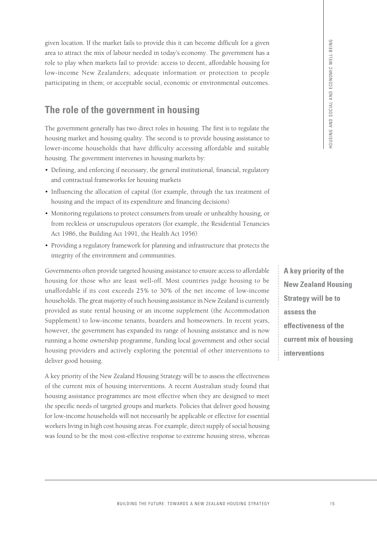given location. If the market fails to provide this it can become difficult for a given area to attract the mix of labour needed in today's economy. The government has a role to play when markets fail to provide: access to decent, affordable housing for low-income New Zealanders; adequate information or protection to people participating in them; or acceptable social, economic or environmental outcomes.

# **The role of the government in housing**

The government generally has two direct roles in housing. The first is to regulate the housing market and housing quality. The second is to provide housing assistance to lower-income households that have difficulty accessing affordable and suitable housing. The government intervenes in housing markets by:

- Defining, and enforcing if necessary, the general institutional, financial, regulatory and contractual frameworks for housing markets
- Influencing the allocation of capital (for example, through the tax treatment of housing and the impact of its expenditure and financing decisions)
- Monitoring regulations to protect consumers from unsafe or unhealthy housing, or from reckless or unscrupulous operators (for example, the Residential Tenancies Act 1986, the Building Act 1991, the Health Act 1956)
- Providing a regulatory framework for planning and infrastructure that protects the integrity of the environment and communities.

Governments often provide targeted housing assistance to ensure access to affordable housing for those who are least well-off. Most countries judge housing to be unaffordable if its cost exceeds 25% to 30% of the net income of low-income households. The great majority of such housing assistance in New Zealand is currently provided as state rental housing or an income supplement (the Accommodation Supplement) to low-income tenants, boarders and homeowners. In recent years, however, the government has expanded its range of housing assistance and is now running a home ownership programme, funding local government and other social housing providers and actively exploring the potential of other interventions to deliver good housing. Each to convolute this at can be entered this in the space of the state of the state of the state of the state of the state of the state of the state of the state of the state of the state of the state of the state of the

A key priority of the New Zealand Housing Strategy will be to assess the effectiveness of the current mix of housing interventions. A recent Australian study found that housing assistance programmes are most effective when they are designed to meet the specific needs of targeted groups and markets. Policies that deliver good housing for low-income households will not necessarily be applicable or effective for essential workers living in high cost housing areas. For example, direct supply of social housing was found to be the most cost-effective response to extreme housing stress, whereas

**A key priority of the New Zealand Housing Strategy will be to assess the effectiveness of the current mix of housing interventions**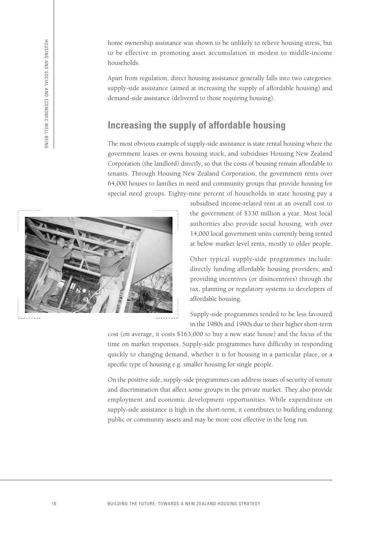home ownership assistance was shown to be unlikely to relieve housing stress, but to be effective in promoting asset accumulation in modest to middle-income households.

Apart from regulation, direct housing assistance generally falls into two categories: supply-side assistance (aimed at increasing the supply of affordable housing) and demand-side assistance (delivered to those requiring housing).

### **Increasing the supply of affordable housing**

The most obvious example of supply-side assistance is state rental housing where the government leases or owns housing stock, and subsidises Housing New Zealand Corporation (the landlord) directly, so that the costs of housing remain affordable to tenants. Through Housing New Zealand Corporation, the government rents over 64,000 houses to families in need and community groups that provide housing for special need groups. Eighty-nine percent of households in state housing pay a



subsidised income-related rent at an overall cost to the government of \$330 million a year. Most local authorities also provide social housing, with over 14,000 local government units currently being rented at below market level rents, mostly to older people.

Other typical supply-side programmes include: directly funding affordable housing providers; and providing incentives (or disincentives) through the tax, planning or regulatory systems to developers of affordable housing.

Supply-side programmes tended to be less favoured in the 1980s and 1990s due to their higher short-term

cost (on average, it costs \$163,000 to buy a new state house) and the focus of the time on market responses. Supply-side programmes have difficulty in responding quickly to changing demand, whether it is for housing in a particular place, or a specific type of housing e.g. smaller housing for single people.

On the positive side, supply-side programmes can address issues of security of tenure and discrimination that affect some groups in the private market. They also provide employment and economic development opportunities. While expenditure on supply-side assistance is high in the short-term, it contributes to building enduring public or community assets and may be more cost effective in the long run.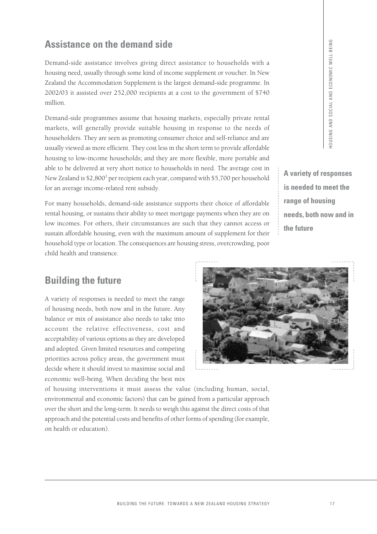**A variety of responses is needed to meet the range of housing needs, both now and in the future**

#### **Assistance on the demand side**

Demand-side assistance involves giving direct assistance to households with a housing need, usually through some kind of income supplement or voucher. In New Zealand the Accommodation Supplement is the largest demand-side programme. In 2002/03 it assisted over 252,000 recipients at a cost to the government of \$740 million.

Demand-side programmes assume that housing markets, especially private rental markets, will generally provide suitable housing in response to the needs of householders. They are seen as promoting consumer choice and self-reliance and are usually viewed as more efficient. They cost less in the short term to provide affordable housing to low-income households; and they are more flexible, more portable and able to be delivered at very short notice to households in need. The average cost in New Zealand is \$2,8003 per recipient each year, compared with \$5,700 per household for an average income-related rent subsidy.

For many households, demand-side assistance supports their choice of affordable rental housing, or sustains their ability to meet mortgage payments when they are on low incomes. For others, their circumstances are such that they cannot access or sustain affordable housing, even with the maximum amount of supplement for their household type or location. The consequences are housing stress, overcrowding, poor child health and transience.

### **Building the future**

A variety of responses is needed to meet the range of housing needs, both now and in the future. Any balance or mix of assistance also needs to take into account the relative effectiveness, cost and acceptability of various options as they are developed and adopted. Given limited resources and competing priorities across policy areas, the government must decide where it should invest to maximise social and economic well-being. When deciding the best mix



of housing interventions it must assess the value (including human, social, environmental and economic factors) that can be gained from a particular approach over the short and the long-term. It needs to weigh this against the direct costs of that approach and the potential costs and benefits of other forms of spending (for example, on health or education).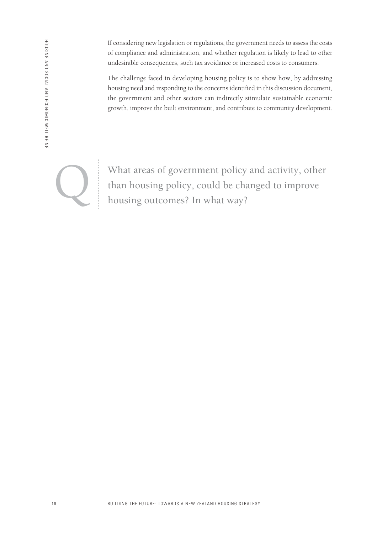If considering new legislation or regulations, the government needs to assess the costs of compliance and administration, and whether regulation is likely to lead to other undesirable consequences, such tax avoidance or increased costs to consumers.

The challenge faced in developing housing policy is to show how, by addressing housing need and responding to the concerns identified in this discussion document, the government and other sectors can indirectly stimulate sustainable economic growth, improve the built environment, and contribute to community development.

What areas of government policy and activity, other<br>than housing policy, could be changed to improve<br>housing outcomes? In what way? than housing policy, could be changed to improve housing outcomes? In what way?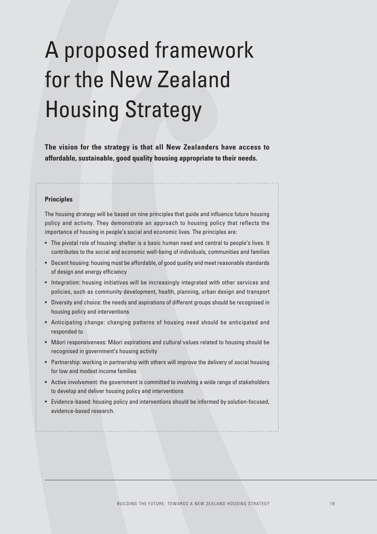# A proposed framework for the New Zealand Housing Strategy

**The vision for the strategy is that all New Zealanders have access to affordable, sustainable, good quality housing appropriate to their needs.**

#### **Principles**

The housing strategy will be based on nine principles that guide and influence future housing policy and activity. They demonstrate an approach to housing policy that reflects the importance of housing in people's social and economic lives. The principles are:

- The pivotal role of housing: shelter is a basic human need and central to people's lives. It contributes to the social and economic well-being of individuals, communities and families
- Decent housing: housing must be affordable, of good quality and meet reasonable standards of design and energy efficiency
- Integration: housing initiatives will be increasingly integrated with other services and policies, such as community development, health, planning, urban design and transport
- Diversity and choice: the needs and aspirations of different groups should be recognised in housing policy and interventions
- Anticipating change: changing patterns of housing need should be anticipated and responded to
- Māori responsiveness: Māori aspirations and cultural values related to housing should be recognised in government's housing activity
- Partnership: working in partnership with others will improve the delivery of social housing for low and modest income families
- Active involvement: the government is committed to involving a wide range of stakeholders to develop and deliver housing policy and interventions
- Evidence-based: housing policy and interventions should be informed by solution-focused, evidence-based research.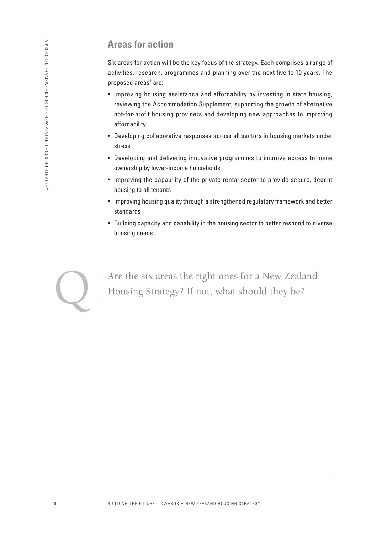# **Areas for action**

Six areas for action will be the key focus of the strategy. Each comprises a range of activities, research, programmes and planning over the next five to 10 years. The proposed areas<sup>4</sup> are:

- Improving housing assistance and affordability by investing in state housing, reviewing the Accommodation Supplement, supporting the growth of alternative not-for-profit housing providers and developing new approaches to improving affordability
- Developing collaborative responses across all sectors in housing markets under stress
- Developing and delivering innovative programmes to improve access to home ownership by lower-income households
- Improving the capability of the private rental sector to provide secure, decent housing to all tenants
- Improving housing quality through a strengthened regulatory framework and better standards
- Building capacity and capability in the housing sector to better respond to diverse housing needs.



Are the six areas the right ones for a New Zealand<br>Housing Strategy? If not, what should they be? Housing Strategy? If not, what should they be?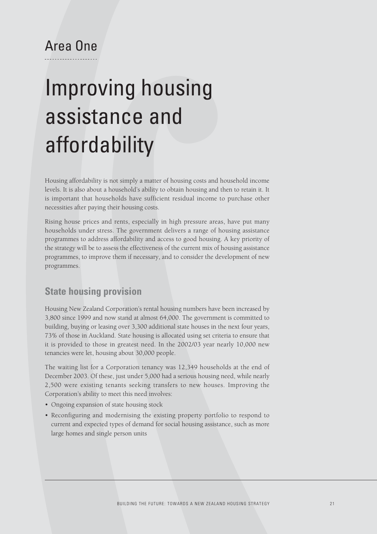# Area One

# Improving housing assistance and affordability

Housing affordability is not simply a matter of housing costs and household income levels. It is also about a household's ability to obtain housing and then to retain it. It is important that households have sufficient residual income to purchase other necessities after paying their housing costs.

Rising house prices and rents, especially in high pressure areas, have put many households under stress. The government delivers a range of housing assistance programmes to address affordability and access to good housing. A key priority of the strategy will be to assess the effectiveness of the current mix of housing assistance programmes, to improve them if necessary, and to consider the development of new programmes.

#### **State housing provision**

Housing New Zealand Corporation's rental housing numbers have been increased by 3,800 since 1999 and now stand at almost 64,000. The government is committed to building, buying or leasing over 3,300 additional state houses in the next four years, 73% of those in Auckland. State housing is allocated using set criteria to ensure that it is provided to those in greatest need. In the 2002/03 year nearly 10,000 new tenancies were let, housing about 30,000 people.

The waiting list for a Corporation tenancy was 12,349 households at the end of December 2003. Of these, just under 5,000 had a serious housing need, while nearly 2,500 were existing tenants seeking transfers to new houses. Improving the Corporation's ability to meet this need involves:

- Ongoing expansion of state housing stock
- Reconfiguring and modernising the existing property portfolio to respond to current and expected types of demand for social housing assistance, such as more large homes and single person units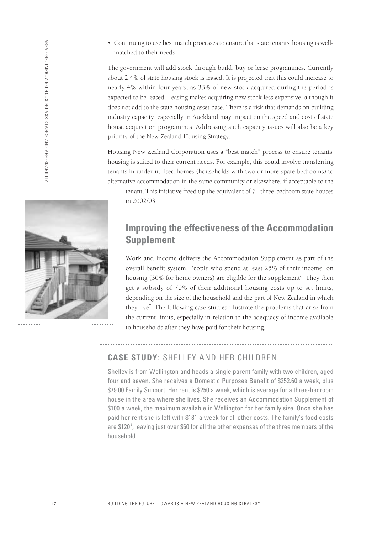• Continuing to use best match processes to ensure that state tenants' housing is wellmatched to their needs.

The government will add stock through build, buy or lease programmes. Currently about 2.4% of state housing stock is leased. It is projected that this could increase to nearly 4% within four years, as 33% of new stock acquired during the period is expected to be leased. Leasing makes acquiring new stock less expensive, although it does not add to the state housing asset base. There is a risk that demands on building industry capacity, especially in Auckland may impact on the speed and cost of state house acquisition programmes. Addressing such capacity issues will also be a key priority of the New Zealand Housing Strategy.

Housing New Zealand Corporation uses a "best match" process to ensure tenants' housing is suited to their current needs. For example, this could involve transferring tenants in under-utilised homes (households with two or more spare bedrooms) to alternative accommodation in the same community or elsewhere, if acceptable to the

tenant. This initiative freed up the equivalent of 71 three-bedroom state houses in 2002/03.

### **Improving the effectiveness of the Accommodation Supplement**

Work and Income delivers the Accommodation Supplement as part of the overall benefit system. People who spend at least 25% of their income<sup>5</sup> on housing (30% for home owners) are eligible for the supplement<sup>6</sup>. They then get a subsidy of 70% of their additional housing costs up to set limits, depending on the size of the household and the part of New Zealand in which they live<sup>7</sup>. The following case studies illustrate the problems that arise from the current limits, especially in relation to the adequacy of income available to households after they have paid for their housing.

#### **CASE STUDY**: SHELLEY AND HER CHILDREN

Shelley is from Wellington and heads a single parent family with two children, aged four and seven. She receives a Domestic Purposes Benefit of \$252.60 a week, plus \$79.00 Family Support. Her rent is \$250 a week, which is average for a three-bedroom house in the area where she lives. She receives an Accommodation Supplement of \$100 a week, the maximum available in Wellington for her family size. Once she has paid her rent she is left with \$181 a week for all other costs. The family's food costs are  $$120<sup>8</sup>$ , leaving just over  $$60$  for all the other expenses of the three members of the household.

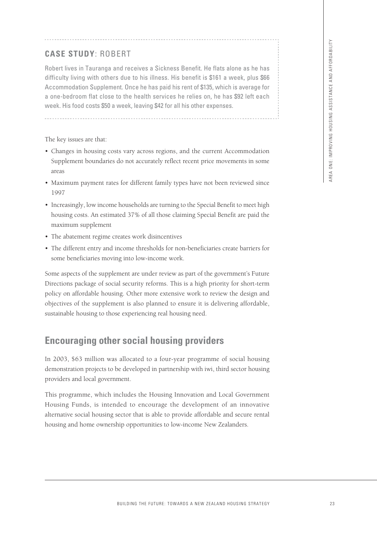#### **CASE STUDY**: ROBERT

Robert lives in Tauranga and receives a Sickness Benefit. He flats alone as he has difficulty living with others due to his illness. His benefit is \$161 a week, plus \$66 Accommodation Supplement. Once he has paid his rent of \$135, which is average for a one-bedroom flat close to the health services he relies on, he has \$92 left each week. His food costs \$50 a week, leaving \$42 for all his other expenses.

The key issues are that:

- Changes in housing costs vary across regions, and the current Accommodation Supplement boundaries do not accurately reflect recent price movements in some areas
- Maximum payment rates for different family types have not been reviewed since 1997
- Increasingly, low income households are turning to the Special Benefit to meet high housing costs. An estimated 37% of all those claiming Special Benefit are paid the maximum supplement
- The abatement regime creates work disincentives
- The different entry and income thresholds for non-beneficiaries create barriers for some beneficiaries moving into low-income work.

Some aspects of the supplement are under review as part of the government's Future Directions package of social security reforms. This is a high priority for short-term policy on affordable housing. Other more extensive work to review the design and objectives of the supplement is also planned to ensure it is delivering affordable, sustainable housing to those experiencing real housing need. ERT<br>
In the to his illness. His basnelist. He flats alone as he has<br>
to due to his liness. His basnelist is STR a week, but show the STRATEGY and the common of the neutron of the neutron of the neutron of the method on the

# **Encouraging other social housing providers**

In 2003, \$63 million was allocated to a four-year programme of social housing demonstration projects to be developed in partnership with iwi, third sector housing providers and local government.

This programme, which includes the Housing Innovation and Local Government Housing Funds, is intended to encourage the development of an innovative alternative social housing sector that is able to provide affordable and secure rental housing and home ownership opportunities to low-income New Zealanders.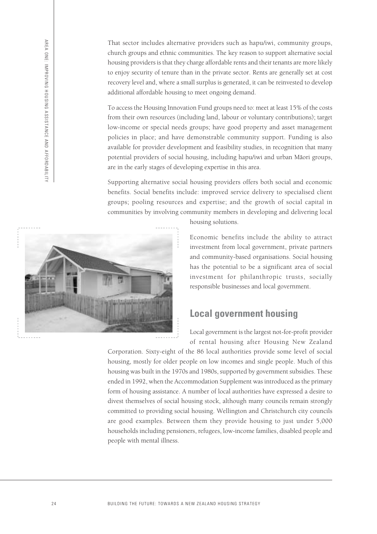That sector includes alternative providers such as hapu/iwi, community groups, church groups and ethnic communities. The key reason to support alternative social housing providers is that they charge affordable rents and their tenants are more likely to enjoy security of tenure than in the private sector. Rents are generally set at cost recovery level and, where a small surplus is generated, it can be reinvested to develop additional affordable housing to meet ongoing demand.

To access the Housing Innovation Fund groups need to: meet at least 15% of the costs from their own resources (including land, labour or voluntary contributions); target low-income or special needs groups; have good property and asset management policies in place; and have demonstrable community support. Funding is also available for provider development and feasibility studies, in recognition that many potential providers of social housing, including hapu/iwi and urban Māori groups, are in the early stages of developing expertise in this area.

Supporting alternative social housing providers offers both social and economic benefits. Social benefits include: improved service delivery to specialised client groups; pooling resources and expertise; and the growth of social capital in communities by involving community members in developing and delivering local



housing solutions.

Economic benefits include the ability to attract investment from local government, private partners and community-based organisations. Social housing has the potential to be a significant area of social investment for philanthropic trusts, socially responsible businesses and local government.

#### **Local government housing**

Local government is the largest not-for-profit provider of rental housing after Housing New Zealand

Corporation. Sixty-eight of the 86 local authorities provide some level of social housing, mostly for older people on low incomes and single people. Much of this housing was built in the 1970s and 1980s, supported by government subsidies. These ended in 1992, when the Accommodation Supplement was introduced as the primary form of housing assistance. A number of local authorities have expressed a desire to divest themselves of social housing stock, although many councils remain strongly committed to providing social housing. Wellington and Christchurch city councils are good examples. Between them they provide housing to just under 5,000 households including pensioners, refugees, low-income families, disabled people and people with mental illness.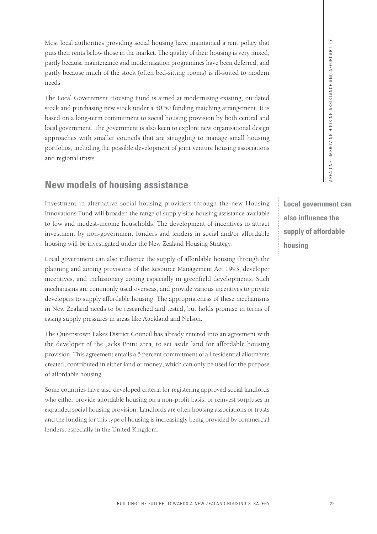Most local authorities providing social housing have maintained a rent policy that puts their rents below those in the market. The quality of their housing is very mixed, partly because maintenance and modernisation programmes have been deferred, and partly because much of the stock (often bed-sitting rooms) is ill-suited to modern needs.

The Local Government Housing Fund is aimed at modernising existing, outdated stock and purchasing new stock under a 50:50 funding matching arrangement. It is based on a long-term commitment to social housing provision by both central and local government. The government is also keen to explore new organisational design approaches with smaller councils that are struggling to manage small housing portfolios, including the possible development of joint venture housing associations and regional trusts. A since the supply of all contains a since the properties and modernisation properations have been deferred, and and modernisation programmes have been deferred, and a search (often bed-string toward) is ill-staned to und

# **New models of housing assistance**

Investment in alternative social housing providers through the new Housing Innovations Fund will broaden the range of supply-side housing assistance available to low and modest-income households. The development of incentives to attract investment by non-government funders and lenders in social and/or affordable housing will be investigated under the New Zealand Housing Strategy.

Local government can also influence the supply of affordable housing through the planning and zoning provisions of the Resource Management Act 1993, developer incentives, and inclusionary zoning especially in greenfield developments. Such mechanisms are commonly used overseas, and provide various incentives to private developers to supply affordable housing. The appropriateness of these mechanisms in New Zealand needs to be researched and tested, but holds promise in terms of easing supply pressures in areas like Auckland and Nelson.

The Queenstown Lakes District Council has already entered into an agreement with the developer of the Jacks Point area, to set aside land for affordable housing provision. This agreement entails a 5 percent commitment of all residential allotments created, contributed in either land or money, which can only be used for the purpose of affordable housing.

Some countries have also developed criteria for registering approved social landlords who either provide affordable housing on a non-profit basis, or reinvest surpluses in expanded social housing provision. Landlords are often housing associations or trusts and the funding for this type of housing is increasingly being provided by commercial lenders, especially in the United Kingdom.

**Local government can also influence the supply of affordable housing**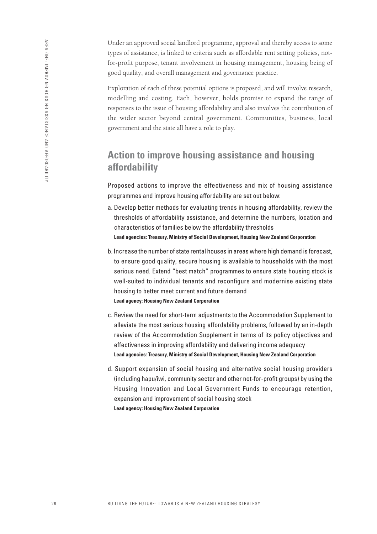Under an approved social landlord programme, approval and thereby access to some types of assistance, is linked to criteria such as affordable rent setting policies, notfor-profit purpose, tenant involvement in housing management, housing being of good quality, and overall management and governance practice.

Exploration of each of these potential options is proposed, and will involve research, modelling and costing. Each, however, holds promise to expand the range of responses to the issue of housing affordability and also involves the contribution of the wider sector beyond central government. Communities, business, local government and the state all have a role to play.

### **Action to improve housing assistance and housing affordability**

Proposed actions to improve the effectiveness and mix of housing assistance programmes and improve housing affordability are set out below:

- a. Develop better methods for evaluating trends in housing affordability, review the thresholds of affordability assistance, and determine the numbers, location and characteristics of families below the affordability thresholds **Lead agencies: Treasury, Ministry of Social Development, Housing New Zealand Corporation**
- b. Increase the number of state rental houses in areas where high demand is forecast, to ensure good quality, secure housing is available to households with the most serious need. Extend "best match" programmes to ensure state housing stock is well-suited to individual tenants and reconfigure and modernise existing state housing to better meet current and future demand **Lead agency: Housing New Zealand Corporation**
- c. Review the need for short-term adjustments to the Accommodation Supplement to alleviate the most serious housing affordability problems, followed by an in-depth review of the Accommodation Supplement in terms of its policy objectives and effectiveness in improving affordability and delivering income adequacy **Lead agencies: Treasury, Ministry of Social Development, Housing New Zealand Corporation**
- d. Support expansion of social housing and alternative social housing providers (including hapu/iwi, community sector and other not-for-profit groups) by using the Housing Innovation and Local Government Funds to encourage retention, expansion and improvement of social housing stock **Lead agency: Housing New Zealand Corporation**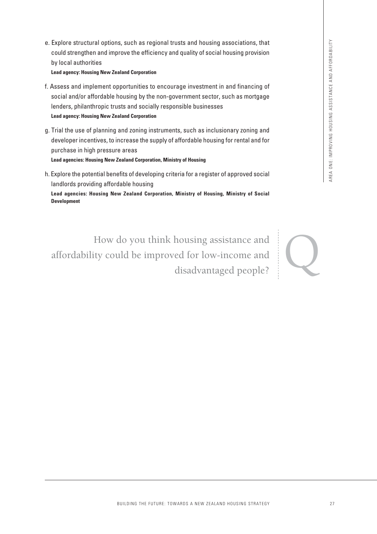e. Explore structural options, such as regional trusts and housing associations, that could strengthen and improve the efficiency and quality of social housing provision by local authorities

**Lead agency: Housing New Zealand Corporation**

- f. Assess and implement opportunities to encourage investment in and financing of social and/or affordable housing by the non-government sector, such as mortgage lenders, philanthropic trusts and socially responsible businesses **Lead agency: Housing New Zealand Corporation**
- g. Trial the use of planning and zoning instruments, such as inclusionary zoning and developer incentives, to increase the supply of affordable housing for rental and for purchase in high pressure areas **Lead agencies: Housing New Zealand Corporation, Ministry of Housing**
- h. Explore the potential benefits of developing criteria for a register of approved social landlords providing affordable housing

**Lead agencies: Housing New Zealand Corporation, Ministry of Housing, Ministry of Social Development**

B, such as regional trusts and housing associations, that<br>
strong of the more parameterism and quality of social housing provision<br>
and Comparison<br>
and Comparison<br>
and Domestic and the contrast and the more of the more of How do you think housing assistance and<br>ty could be improved for low-income and<br>disadvantaged people? affordability could be improved for low-income and disadvantaged people?

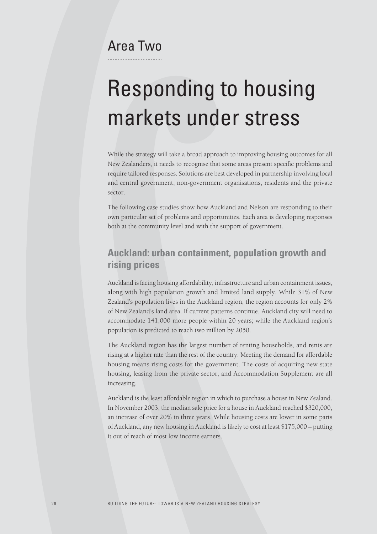# Area Two

# Responding to housing markets under stress

While the strategy will take a broad approach to improving housing outcomes for all New Zealanders, it needs to recognise that some areas present specific problems and require tailored responses. Solutions are best developed in partnership involving local and central government, non-government organisations, residents and the private sector.

The following case studies show how Auckland and Nelson are responding to their own particular set of problems and opportunities. Each area is developing responses both at the community level and with the support of government.

### **Auckland: urban containment, population growth and rising prices**

Auckland is facing housing affordability, infrastructure and urban containment issues, along with high population growth and limited land supply. While 31% of New Zealand's population lives in the Auckland region, the region accounts for only 2% of New Zealand's land area. If current patterns continue, Auckland city will need to accommodate 141,000 more people within 20 years; while the Auckland region's population is predicted to reach two million by 2050.

The Auckland region has the largest number of renting households, and rents are rising at a higher rate than the rest of the country. Meeting the demand for affordable housing means rising costs for the government. The costs of acquiring new state housing, leasing from the private sector, and Accommodation Supplement are all increasing.

Auckland is the least affordable region in which to purchase a house in New Zealand. In November 2003, the median sale price for a house in Auckland reached \$320,000, an increase of over 20% in three years. While housing costs are lower in some parts of Auckland, any new housing in Auckland is likely to cost at least \$175,000 – putting it out of reach of most low income earners.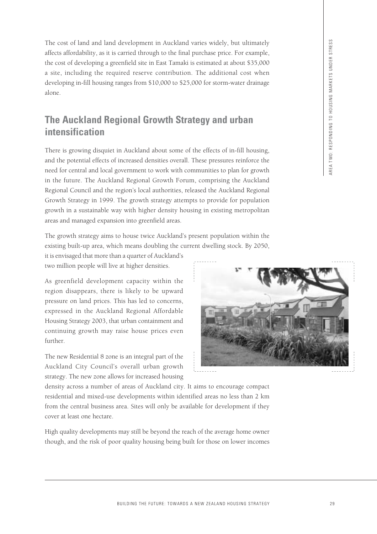The cost of land and land development in Auckland varies widely, but ultimately affects affordability, as it is carried through to the final purchase price. For example, the cost of developing a greenfield site in East Tamaki is estimated at about \$35,000 a site, including the required reserve contribution. The additional cost when developing in-fill housing ranges from \$10,000 to \$25,000 for storm-water drainage alone.

# **The Auckland Regional Growth Strategy and urban intensification**

There is growing disquiet in Auckland about some of the effects of in-fill housing, and the potential effects of increased densities overall. These pressures reinforce the need for central and local government to work with communities to plan for growth in the future. The Auckland Regional Growth Forum, comprising the Auckland Regional Council and the region's local authorities, released the Auckland Regional Growth Strategy in 1999. The growth strategy attempts to provide for population growth in a sustainable way with higher density housing in existing metropolitan areas and managed expansion into greenfield areas.

The growth strategy aims to house twice Auckland's present population within the existing built-up area, which means doubling the current dwelling stock. By 2050,

it is envisaged that more than a quarter of Auckland's two million people will live at higher densities.

As greenfield development capacity within the region disappears, there is likely to be upward pressure on land prices. This has led to concerns, expressed in the Auckland Regional Affordable Housing Strategy 2003, that urban containment and continuing growth may raise house prices even further.

The new Residential 8 zone is an integral part of the Auckland City Council's overall urban growth strategy. The new zone allows for increased housing



density across a number of areas of Auckland city. It aims to encourage compact residential and mixed-use developments within identified areas no less than 2 km from the central business area. Sites will only be available for development if they cover at least one hectare.

High quality developments may still be beyond the reach of the average home owner though, and the risk of poor quality housing being built for those on lower incomes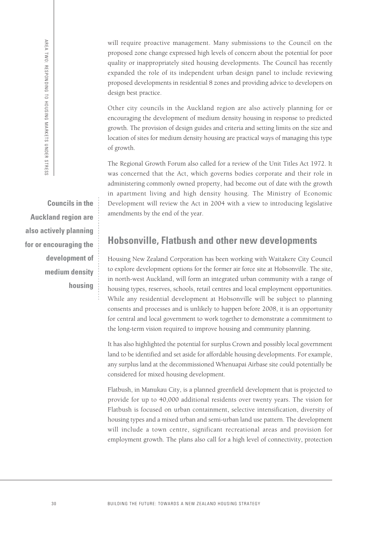AREA TWO: RESPONDING TO HOUSING MARKETS UNDER STRESS AREA TWO: RESPONDING TO HOUSING MARKETS UNDER STRESS

**Councils in the Auckland region are also actively planning for or encouraging the development of medium density housing**

will require proactive management. Many submissions to the Council on the proposed zone change expressed high levels of concern about the potential for poor quality or inappropriately sited housing developments. The Council has recently expanded the role of its independent urban design panel to include reviewing proposed developments in residential 8 zones and providing advice to developers on design best practice.

Other city councils in the Auckland region are also actively planning for or encouraging the development of medium density housing in response to predicted growth. The provision of design guides and criteria and setting limits on the size and location of sites for medium density housing are practical ways of managing this type of growth.

The Regional Growth Forum also called for a review of the Unit Titles Act 1972. It was concerned that the Act, which governs bodies corporate and their role in administering commonly owned property, had become out of date with the growth in apartment living and high density housing. The Ministry of Economic Development will review the Act in 2004 with a view to introducing legislative amendments by the end of the year.

# **Hobsonville, Flatbush and other new developments**

Housing New Zealand Corporation has been working with Waitakere City Council to explore development options for the former air force site at Hobsonville. The site, in north-west Auckland, will form an integrated urban community with a range of housing types, reserves, schools, retail centres and local employment opportunities. While any residential development at Hobsonville will be subject to planning consents and processes and is unlikely to happen before 2008, it is an opportunity for central and local government to work together to demonstrate a commitment to the long-term vision required to improve housing and community planning.

It has also highlighted the potential for surplus Crown and possibly local government land to be identified and set aside for affordable housing developments. For example, any surplus land at the decommissioned Whenuapai Airbase site could potentially be considered for mixed housing development.

Flatbush, in Manukau City, is a planned greenfield development that is projected to provide for up to 40,000 additional residents over twenty years. The vision for Flatbush is focused on urban containment, selective intensification, diversity of housing types and a mixed urban and semi-urban land use pattern. The development will include a town centre, significant recreational areas and provision for employment growth. The plans also call for a high level of connectivity, protection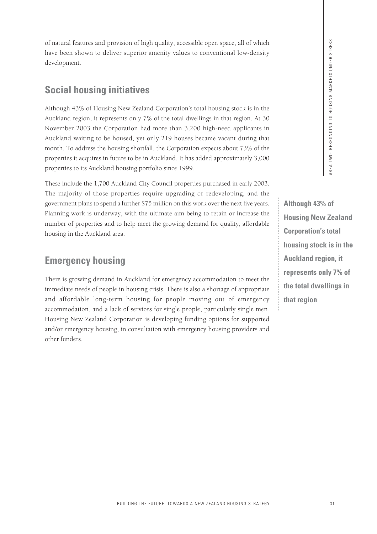**Although 43% of Housing New Zealand Corporation's total housing stock is in the Auckland region, it represents only 7% of the total dwellings in that region**

of natural features and provision of high quality, accessible open space, all of which have been shown to deliver superior amenity values to conventional low-density development.

# **Social housing initiatives**

Although 43% of Housing New Zealand Corporation's total housing stock is in the Auckland region, it represents only 7% of the total dwellings in that region. At 30 November 2003 the Corporation had more than 3,200 high-need applicants in Auckland waiting to be housed, yet only 219 houses became vacant during that month. To address the housing shortfall, the Corporation expects about 73% of the properties it acquires in future to be in Auckland. It has added approximately 3,000 properties to its Auckland housing portfolio since 1999.

These include the 1,700 Auckland City Council properties purchased in early 2003. The majority of those properties require upgrading or redeveloping, and the government plans to spend a further \$75 million on this work over the next five years. Planning work is underway, with the ultimate aim being to retain or increase the number of properties and to help meet the growing demand for quality, affordable housing in the Auckland area.

# **Emergency housing**

There is growing demand in Auckland for emergency accommodation to meet the immediate needs of people in housing crisis. There is also a shortage of appropriate and affordable long-term housing for people moving out of emergency accommodation, and a lack of services for single people, particularly single men. Housing New Zealand Corporation is developing funding options for supported and/or emergency housing, in consultation with emergency housing providers and other funders. External of thigh quality, accessible open space, all of which<br>
is superior amendy values to conventional low-density<br>
intakives<br>
New Zealand Corporation's costal abouting stock is in the<br>
metric angle 2013 housing stock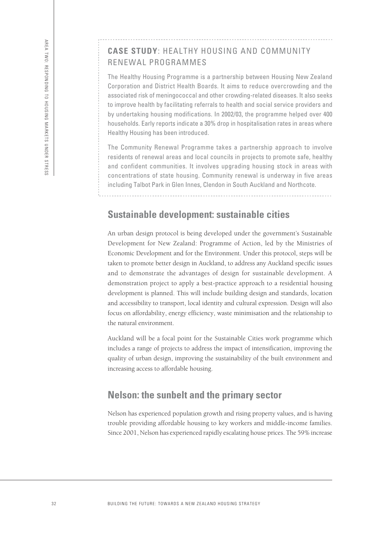#### **CASE STUDY**: HEALTHY HOUSING AND COMMUNITY RENEWAL PROGRAMMES

The Healthy Housing Programme is a partnership between Housing New Zealand Corporation and District Health Boards. It aims to reduce overcrowding and the associated risk of meningococcal and other crowding-related diseases. It also seeks to improve health by facilitating referrals to health and social service providers and by undertaking housing modifications. In 2002/03, the programme helped over 400 households. Early reports indicate a 30% drop in hospitalisation rates in areas where Healthy Housing has been introduced.

The Community Renewal Programme takes a partnership approach to involve residents of renewal areas and local councils in projects to promote safe, healthy and confident communities. It involves upgrading housing stock in areas with concentrations of state housing. Community renewal is underway in five areas including Talbot Park in Glen Innes, Clendon in South Auckland and Northcote.

#### **Sustainable development: sustainable cities**

An urban design protocol is being developed under the government's Sustainable Development for New Zealand: Programme of Action, led by the Ministries of Economic Development and for the Environment. Under this protocol, steps will be taken to promote better design in Auckland, to address any Auckland specific issues and to demonstrate the advantages of design for sustainable development. A demonstration project to apply a best-practice approach to a residential housing development is planned. This will include building design and standards, location and accessibility to transport, local identity and cultural expression. Design will also focus on affordability, energy efficiency, waste minimisation and the relationship to the natural environment.

Auckland will be a focal point for the Sustainable Cities work programme which includes a range of projects to address the impact of intensification, improving the quality of urban design, improving the sustainability of the built environment and increasing access to affordable housing.

#### **Nelson: the sunbelt and the primary sector**

Nelson has experienced population growth and rising property values, and is having trouble providing affordable housing to key workers and middle-income families. Since 2001, Nelson has experienced rapidly escalating house prices. The 59% increase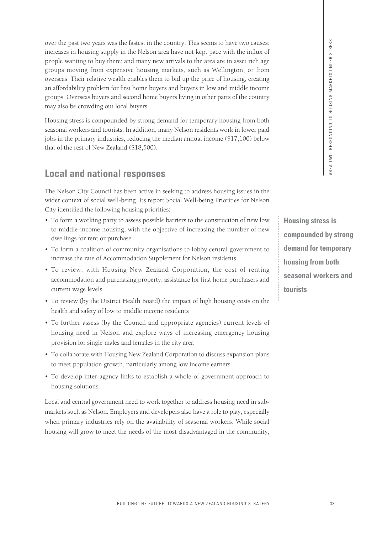over the past two years was the fastest in the country. This seems to have two causes: increases in housing supply in the Nelson area have not kept pace with the influx of people wanting to buy there; and many new arrivals to the area are in asset rich age groups moving from expensive housing markets, such as Wellington, or from overseas. Their relative wealth enables them to bid up the price of housing, creating an affordability problem for first home buyers and buyers in low and middle income groups. Overseas buyers and second home buyers living in other parts of the country may also be crowding out local buyers. The listensit in the country. This securities the matter when the state are the matter of the same that the state are the state at the state of the state is a state of the state of the state of the state of the state are t

Housing stress is compounded by strong demand for temporary housing from both seasonal workers and tourists. In addition, many Nelson residents work in lower paid jobs in the primary industries, reducing the median annual income (\$17,100) below that of the rest of New Zealand (\$18,500).

# **Local and national responses**

The Nelson City Council has been active in seeking to address housing issues in the wider context of social well-being. Its report Social Well-being Priorities for Nelson City identified the following housing priorities:

- To form a working party to assess possible barriers to the construction of new low to middle-income housing, with the objective of increasing the number of new dwellings for rent or purchase
- To form a coalition of community organisations to lobby central government to increase the rate of Accommodation Supplement for Nelson residents
- To review, with Housing New Zealand Corporation, the cost of renting accommodation and purchasing property, assistance for first home purchasers and current wage levels
- To review (by the District Health Board) the impact of high housing costs on the health and safety of low to middle income residents
- To further assess (by the Council and appropriate agencies) current levels of housing need in Nelson and explore ways of increasing emergency housing provision for single males and females in the city area
- To collaborate with Housing New Zealand Corporation to discuss expansion plans to meet population growth, particularly among low income earners
- To develop inter-agency links to establish a whole-of-government approach to housing solutions.

Local and central government need to work together to address housing need in submarkets such as Nelson. Employers and developers also have a role to play, especially when primary industries rely on the availability of seasonal workers. While social housing will grow to meet the needs of the most disadvantaged in the community,

**Housing stress is compounded by strong demand for temporary housing from both seasonal workers and tourists**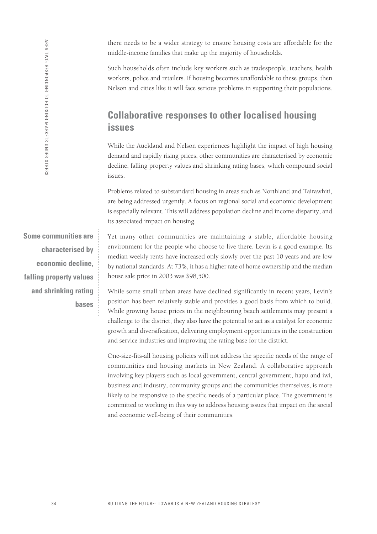AREA TWO: RESPONDING TO HOUSING MARKETS UNDER STRESS

AREA TWO: RESPONDING TO HOUSING MARKETS UNDER STRESS

there needs to be a wider strategy to ensure housing costs are affordable for the middle-income families that make up the majority of households.

Such households often include key workers such as tradespeople, teachers, health workers, police and retailers. If housing becomes unaffordable to these groups, then Nelson and cities like it will face serious problems in supporting their populations.

### **Collaborative responses to other localised housing issues**

While the Auckland and Nelson experiences highlight the impact of high housing demand and rapidly rising prices, other communities are characterised by economic decline, falling property values and shrinking rating bases, which compound social issues.

Problems related to substandard housing in areas such as Northland and Tairawhiti, are being addressed urgently. A focus on regional social and economic development is especially relevant. This will address population decline and income disparity, and its associated impact on housing.

**Some communities are characterised by economic decline, falling property values and shrinking rating bases**

Yet many other communities are maintaining a stable, affordable housing environment for the people who choose to live there. Levin is a good example. Its median weekly rents have increased only slowly over the past 10 years and are low by national standards. At 73%, it has a higher rate of home ownership and the median house sale price in 2003 was \$98,500.

While some small urban areas have declined significantly in recent years, Levin's position has been relatively stable and provides a good basis from which to build. While growing house prices in the neighbouring beach settlements may present a challenge to the district, they also have the potential to act as a catalyst for economic growth and diversification, delivering employment opportunities in the construction and service industries and improving the rating base for the district.

One-size-fits-all housing policies will not address the specific needs of the range of communities and housing markets in New Zealand. A collaborative approach involving key players such as local government, central government, hapu and iwi, business and industry, community groups and the communities themselves, is more likely to be responsive to the specific needs of a particular place. The government is committed to working in this way to address housing issues that impact on the social and economic well-being of their communities.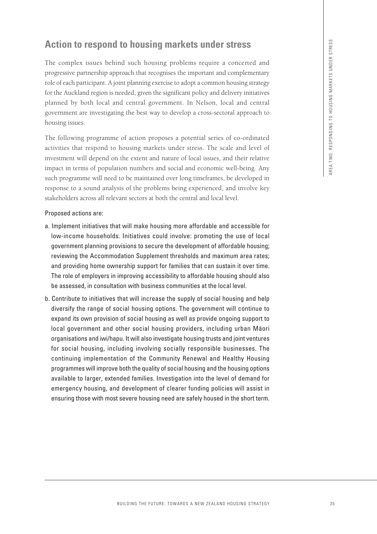# **Action to respond to housing markets under stress**

The complex issues behind such housing problems require a concerted and progressive partnership approach that recognises the important and complementary role of each participant. A joint planning exercise to adopt a common housing strategy for the Auckland region is needed, given the significant policy and delivery initiatives planned by both local and central government. In Nelson, local and central government are investigating the best way to develop a cross-sectoral approach to housing issues.

The following programme of action proposes a potential series of co-ordinated activities that respond to housing markets under stress. The scale and level of investment will depend on the extent and nature of local issues, and their relative impact in terms of population numbers and social and economic well-being. Any such programme will need to be maintained over long timeframes, be developed in response to a sound analysis of the problems being experienced, and involve key stakeholders across all relevant sectors at both the central and local level.

#### Proposed actions are:

- a. Implement initiatives that will make housing more affordable and accessible for low-income households. Initiatives could involve: promoting the use of local government planning provisions to secure the development of affordable housing; reviewing the Accommodation Supplement thresholds and maximum area rates; and providing home ownership support for families that can sustain it over time. The role of employers in improving accessibility to affordable housing should also be assessed, in consultation with business communities at the local level.
- b. Contribute to initiatives that will increase the supply of social housing and help diversify the range of social housing options. The government will continue to expand its own provision of social housing as well as provide ongoing support to local government and other social housing providers, including urban Māori organisations and iwi/hapu. It will also investigate housing trusts and joint ventures for social housing, including involving socially responsible businesses. The continuing implementation of the Community Renewal and Healthy Housing programmes will improve both the quality of social housing and the housing options available to larger, extended families. Investigation into the level of demand for emergency housing, and development of clearer funding policies will assist in ensuring those with most severe housing need are safely housed in the short term. **Example 15 Example 15 Example 16 Example 20 Example 20 Example 20 Example 20 Example 20 Example 20 Example 20 Example 20 Example 20 Example 20 Example 20 Example 20 Example 20 Example 20**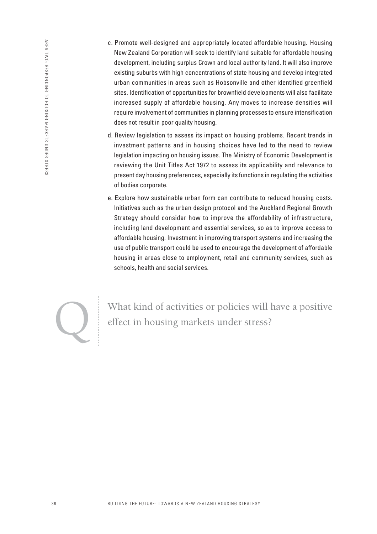- c. Promote well-designed and appropriately located affordable housing. Housing New Zealand Corporation will seek to identify land suitable for affordable housing development, including surplus Crown and local authority land. It will also improve existing suburbs with high concentrations of state housing and develop integrated urban communities in areas such as Hobsonville and other identified greenfield sites. Identification of opportunities for brownfield developments will also facilitate increased supply of affordable housing. Any moves to increase densities will require involvement of communities in planning processes to ensure intensification does not result in poor quality housing.
- d. Review legislation to assess its impact on housing problems. Recent trends in investment patterns and in housing choices have led to the need to review legislation impacting on housing issues. The Ministry of Economic Development is reviewing the Unit Titles Act 1972 to assess its applicability and relevance to present day housing preferences, especially its functions in regulating the activities of bodies corporate.
- e. Explore how sustainable urban form can contribute to reduced housing costs. Initiatives such as the urban design protocol and the Auckland Regional Growth Strategy should consider how to improve the affordability of infrastructure, including land development and essential services, so as to improve access to affordable housing. Investment in improving transport systems and increasing the use of public transport could be used to encourage the development of affordable housing in areas close to employment, retail and community services, such as schools, health and social services.



What kind of activities or policies will have a positive effect in housing markets under stress?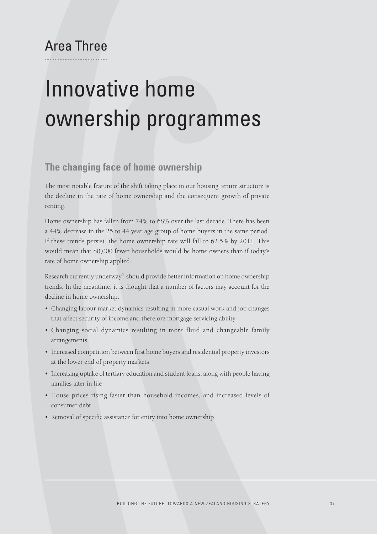## Area Three

# Innovative home ownership programmes

## **The changing face of home ownership**

The most notable feature of the shift taking place in our housing tenure structure is the decline in the rate of home ownership and the consequent growth of private renting.

Home ownership has fallen from 74% to 68% over the last decade. There has been a 44% decrease in the 25 to 44 year age group of home buyers in the same period. If these trends persist, the home ownership rate will fall to 62.5% by 2011. This would mean that 80,000 fewer households would be home owners than if today's rate of home ownership applied.

Research currently underway<sup>9</sup> should provide better information on home ownership trends. In the meantime, it is thought that a number of factors may account for the decline in home ownership:

- Changing labour market dynamics resulting in more casual work and job changes that affect security of income and therefore mortgage servicing ability
- Changing social dynamics resulting in more fluid and changeable family arrangements
- Increased competition between first home buyers and residential property investors at the lower end of property markets
- Increasing uptake of tertiary education and student loans, along with people having families later in life
- House prices rising faster than household incomes, and increased levels of consumer debt
- Removal of specific assistance for entry into home ownership.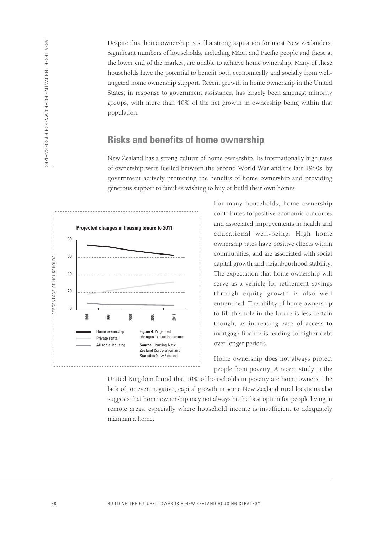Despite this, home ownership is still a strong aspiration for most New Zealanders. Significant numbers of households, including Māori and Pacific people and those at the lower end of the market, are unable to achieve home ownership. Many of these households have the potential to benefit both economically and socially from welltargeted home ownership support. Recent growth in home ownership in the United States, in response to government assistance, has largely been amongst minority groups, with more than 40% of the net growth in ownership being within that population.

### **Risks and benefits of home ownership**

New Zealand has a strong culture of home ownership. Its internationally high rates of ownership were fuelled between the Second World War and the late 1980s, by government actively promoting the benefits of home ownership and providing generous support to families wishing to buy or build their own homes.



For many households, home ownership contributes to positive economic outcomes and associated improvements in health and educational well-being. High home ownership rates have positive effects within communities, and are associated with social capital growth and neighbourhood stability. The expectation that home ownership will serve as a vehicle for retirement savings through equity growth is also well entrenched. The ability of home ownership to fill this role in the future is less certain though, as increasing ease of access to mortgage finance is leading to higher debt over longer periods.

Home ownership does not always protect people from poverty. A recent study in the

United Kingdom found that 50% of households in poverty are home owners. The lack of, or even negative, capital growth in some New Zealand rural locations also suggests that home ownership may not always be the best option for people living in remote areas, especially where household income is insufficient to adequately maintain a home.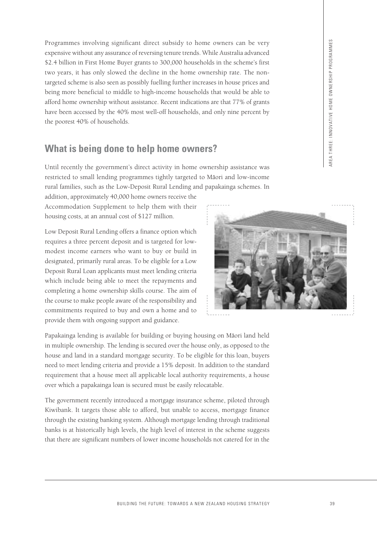Programmes involving significant direct subsidy to home owners can be very expensive without any assurance of reversing tenure trends. While Australia advanced \$2.4 billion in First Home Buyer grants to 300,000 households in the scheme's first two years, it has only slowed the decline in the home ownership rate. The nontargeted scheme is also seen as possibly fuelling further increases in house prices and being more beneficial to middle to high-income households that would be able to afford home ownership without assistance. Recent indications are that 77% of grants have been accessed by the 40% most well-off households, and only nine percent by the poorest 40% of households.

## **What is being done to help home owners?**

Until recently the government's direct activity in home ownership assistance was restricted to small lending programmes tightly targeted to Māori and low-income rural families, such as the Low-Deposit Rural Lending and papakainga schemes. In

addition, approximately 40,000 home owners receive the Accommodation Supplement to help them with their housing costs, at an annual cost of \$127 million.

Low Deposit Rural Lending offers a finance option which requires a three percent deposit and is targeted for lowmodest income earners who want to buy or build in designated, primarily rural areas. To be eligible for a Low Deposit Rural Loan applicants must meet lending criteria which include being able to meet the repayments and completing a home ownership skills course. The aim of the course to make people aware of the responsibility and commitments required to buy and own a home and to provide them with ongoing support and guidance.



Papakainga lending is available for building or buying housing on Māori land held in multiple ownership. The lending is secured over the house only, as opposed to the house and land in a standard mortgage security. To be eligible for this loan, buyers need to meet lending criteria and provide a 15% deposit. In addition to the standard requirement that a house meet all applicable local authority requirements, a house over which a papakainga loan is secured must be easily relocatable.

The government recently introduced a mortgage insurance scheme, piloted through Kiwibank. It targets those able to afford, but unable to access, mortgage finance through the existing banking system. Although mortgage lending through traditional banks is at historically high levels, the high level of interest in the scheme suggests that there are significant numbers of lower income households not catered for in the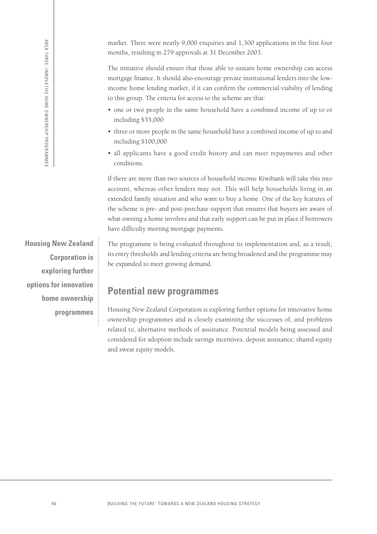market. There were nearly 9,000 enquiries and 1,300 applications in the first four months, resulting in 279 approvals at 31 December 2003.

The initiative should ensure that those able to sustain home ownership can access mortgage finance. It should also encourage private institutional lenders into the lowincome home lending market, if it can confirm the commercial viability of lending to this group. The criteria for access to the scheme are that:

- one or two people in the same household have a combined income of up to or including \$55,000
- three or more people in the same household have a combined income of up to and including \$100,000
- all applicants have a good credit history and can meet repayments and other conditions.

If there are more than two sources of household income Kiwibank will take this into account, whereas other lenders may not. This will help households living in an extended family situation and who want to buy a home. One of the key features of the scheme is pre- and post-purchase support that ensures that buyers are aware of what owning a home involves and that early support can be put in place if borrowers have difficulty meeting mortgage payments.

**Housing New Zealand Corporation is exploring further options for innovative home ownership programmes**

The programme is being evaluated throughout its implementation and, as a result, its entry thresholds and lending criteria are being broadened and the programme may be expanded to meet growing demand.

## **Potential new programmes**

Housing New Zealand Corporation is exploring further options for innovative home ownership programmes and is closely examining the successes of, and problems related to, alternative methods of assistance. Potential models being assessed and considered for adoption include savings incentives, deposit assistance, shared equity and sweat equity models.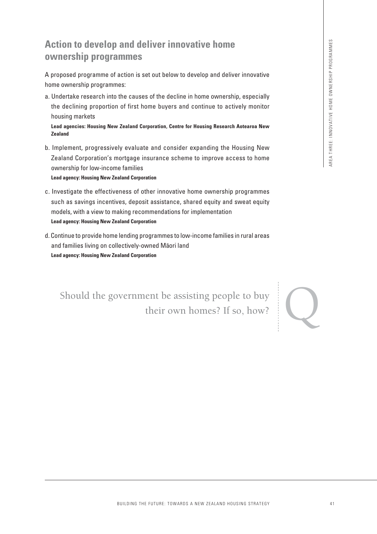## **Action to develop and deliver innovative home ownership programmes**

A proposed programme of action is set out below to develop and deliver innovative home ownership programmes:

a. Undertake research into the causes of the decline in home ownership, especially the declining proportion of first home buyers and continue to actively monitor housing markets

**Lead agencies: Housing New Zealand Corporation, Centre for Housing Research Aotearoa New Zealand**

b. Implement, progressively evaluate and consider expanding the Housing New Zealand Corporation's mortgage insurance scheme to improve access to home ownership for low-income families

**Lead agency: Housing New Zealand Corporation**

- c. Investigate the effectiveness of other innovative home ownership programmes such as savings incentives, deposit assistance, shared equity and sweat equity models, with a view to making recommendations for implementation **Lead agency: Housing New Zealand Corporation** and deliver innovative home<br>
actions<br>
actions<br>
we:<br>
the causes of the deline in home ownership, especially<br>
the causes of the deline and consinue to actively monitor<br>
2 **Zealand Corporations**, Centre for Mexing Research Ac
- d. Continue to provide home lending programmes to low-income families in rural areas and families living on collectively-owned Maori land **Lead agency: Housing New Zealand Corporation**

Should the government be assisting people to buy their own homes? If so, how?

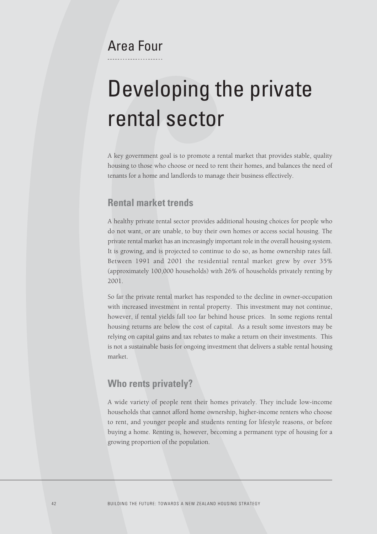## Area Four

# Developing the private rental sector

A key government goal is to promote a rental market that provides stable, quality housing to those who choose or need to rent their homes, and balances the need of tenants for a home and landlords to manage their business effectively.

### **Rental market trends**

A healthy private rental sector provides additional housing choices for people who do not want, or are unable, to buy their own homes or access social housing. The private rental market has an increasingly important role in the overall housing system. It is growing, and is projected to continue to do so, as home ownership rates fall. Between 1991 and 2001 the residential rental market grew by over 35% (approximately 100,000 households) with 26% of households privately renting by 2001.

So far the private rental market has responded to the decline in owner-occupation with increased investment in rental property. This investment may not continue, however, if rental yields fall too far behind house prices. In some regions rental housing returns are below the cost of capital. As a result some investors may be relying on capital gains and tax rebates to make a return on their investments. This is not a sustainable basis for ongoing investment that delivers a stable rental housing market.

## **Who rents privately?**

A wide variety of people rent their homes privately. They include low-income households that cannot afford home ownership, higher-income renters who choose to rent, and younger people and students renting for lifestyle reasons, or before buying a home. Renting is, however, becoming a permanent type of housing for a growing proportion of the population.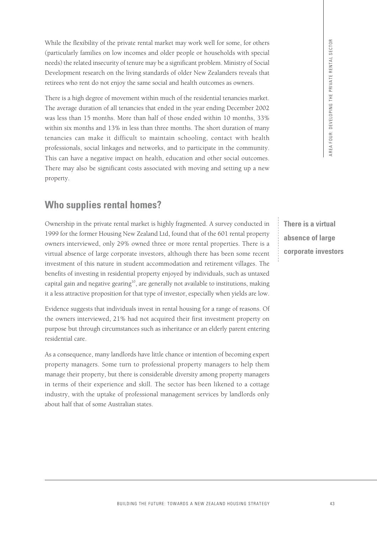While the flexibility of the private rental market may work well for some, for others (particularly families on low incomes and older people or households with special needs) the related insecurity of tenure may be a significant problem. Ministry of Social Development research on the living standards of older New Zealanders reveals that retirees who rent do not enjoy the same social and health outcomes as owners.

There is a high degree of movement within much of the residential tenancies market. The average duration of all tenancies that ended in the year ending December 2002 was less than 15 months. More than half of those ended within 10 months, 33% within six months and 13% in less than three months. The short duration of many tenancies can make it difficult to maintain schooling, contact with health professionals, social linkages and networks, and to participate in the community. This can have a negative impact on health, education and other social outcomes. There may also be significant costs associated with moving and setting up a new property. BUILDING TRULE THE FUTURE: THE FUTURE: THE CONDUCT CONDUCTS OF THE RELEASE OF A NEW ZEALAND HOUSING THE FUTURE INTERFERENCE (SCIRE THE FURNIT AND SECTOR UNIT AND SECTION THE FURNIT CONDUCTS THE PRIVATE STRATEGY (SCIRE THE

## **Who supplies rental homes?**

Ownership in the private rental market is highly fragmented. A survey conducted in 1999 for the former Housing New Zealand Ltd, found that of the 601 rental property owners interviewed, only 29% owned three or more rental properties. There is a virtual absence of large corporate investors, although there has been some recent investment of this nature in student accommodation and retirement villages. The benefits of investing in residential property enjoyed by individuals, such as untaxed capital gain and negative gearing<sup>10</sup>, are generally not available to institutions, making it a less attractive proposition for that type of investor, especially when yields are low.

Evidence suggests that individuals invest in rental housing for a range of reasons. Of the owners interviewed, 21% had not acquired their first investment property on purpose but through circumstances such as inheritance or an elderly parent entering residential care.

As a consequence, many landlords have little chance or intention of becoming expert property managers. Some turn to professional property managers to help them manage their property, but there is considerable diversity among property managers in terms of their experience and skill. The sector has been likened to a cottage industry, with the uptake of professional management services by landlords only about half that of some Australian states.

**There is a virtual absence of large corporate investors**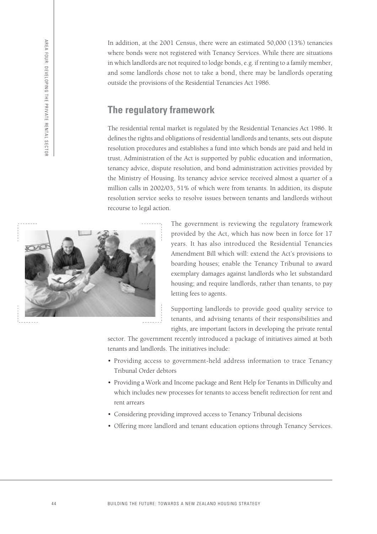AREA FOUR: DEVELOPING THE PRIVATE RENTAL SECTOR AREA FOUR: DEVELOPING THE PRIVATE RENTAL SECTOR

In addition, at the 2001 Census, there were an estimated 50,000 (13%) tenancies where bonds were not registered with Tenancy Services. While there are situations in which landlords are not required to lodge bonds, e.g. if renting to a family member, and some landlords chose not to take a bond, there may be landlords operating outside the provisions of the Residential Tenancies Act 1986.

## **The regulatory framework**

The residential rental market is regulated by the Residential Tenancies Act 1986. It defines the rights and obligations of residential landlords and tenants, sets out dispute resolution procedures and establishes a fund into which bonds are paid and held in trust. Administration of the Act is supported by public education and information, tenancy advice, dispute resolution, and bond administration activities provided by the Ministry of Housing. Its tenancy advice service received almost a quarter of a million calls in 2002/03, 51% of which were from tenants. In addition, its dispute resolution service seeks to resolve issues between tenants and landlords without recourse to legal action.



The government is reviewing the regulatory framework provided by the Act, which has now been in force for 17 years. It has also introduced the Residential Tenancies Amendment Bill which will: extend the Act's provisions to boarding houses; enable the Tenancy Tribunal to award exemplary damages against landlords who let substandard housing; and require landlords, rather than tenants, to pay letting fees to agents.

Supporting landlords to provide good quality service to tenants, and advising tenants of their responsibilities and rights, are important factors in developing the private rental

sector. The government recently introduced a package of initiatives aimed at both tenants and landlords. The initiatives include:

- Providing access to government-held address information to trace Tenancy Tribunal Order debtors
- Providing a Work and Income package and Rent Help for Tenants in Difficulty and which includes new processes for tenants to access benefit redirection for rent and rent arrears
- Considering providing improved access to Tenancy Tribunal decisions
- Offering more landlord and tenant education options through Tenancy Services.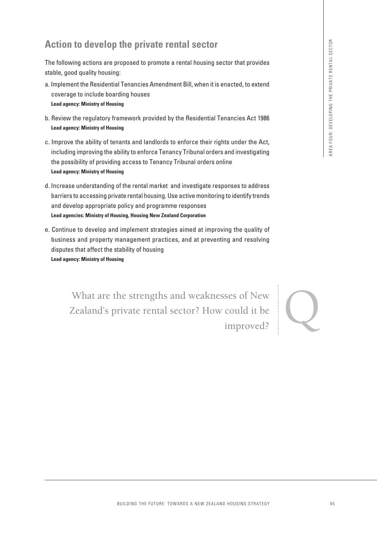## **Action to develop the private rental sector**

The following actions are proposed to promote a rental housing sector that provides stable, good quality housing:

- a. Implement the Residential Tenancies Amendment Bill, when it is enacted, to extend coverage to include boarding houses **Lead agency: Ministry of Housing**
- b. Review the regulatory framework provided by the Residential Tenancies Act 1986 **Lead agency: Ministry of Housing**
- c. Improve the ability of tenants and landlords to enforce their rights under the Act, including improving the ability to enforce Tenancy Tribunal orders and investigating the possibility of providing access to Tenancy Tribunal orders online **Lead agency: Ministry of Housing**
- d. Increase understanding of the rental market and investigate responses to address barriers to accessing private rental housing. Use active monitoring to identify trends and develop appropriate policy and programme responses **Lead agencies: Ministry of Housing, Housing New Zealand Corporation**
- e. Continue to develop and implement strategies aimed at improving the quality of business and property management practices, and at preventing and resolving disputes that affect the stability of housing **Lead agency: Ministry of Housing**

The private rental sector<br>
Inconsists are an actual busing sector that provides<br>
Informacies Amendment Bill, when it is enacted, to exceed<br>
tring houses<br>
ing<br>
ling<br>
any<br>
any anotas and landleds to an force their rights und What are the strengths and weaknesses of New Zealand's private rental sector? How could it be improved?

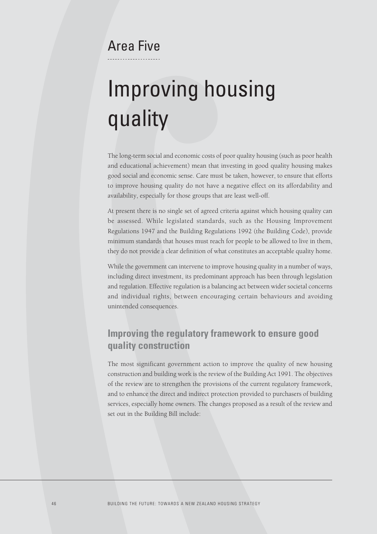## Area Five

# Improving housing quality

The long-term social and economic costs of poor quality housing (such as poor health and educational achievement) mean that investing in good quality housing makes good social and economic sense. Care must be taken, however, to ensure that efforts to improve housing quality do not have a negative effect on its affordability and availability, especially for those groups that are least well-off.

At present there is no single set of agreed criteria against which housing quality can be assessed. While legislated standards, such as the Housing Improvement Regulations 1947 and the Building Regulations 1992 (the Building Code), provide minimum standards that houses must reach for people to be allowed to live in them, they do not provide a clear definition of what constitutes an acceptable quality home.

While the government can intervene to improve housing quality in a number of ways, including direct investment, its predominant approach has been through legislation and regulation. Effective regulation is a balancing act between wider societal concerns and individual rights, between encouraging certain behaviours and avoiding unintended consequences.

## **Improving the regulatory framework to ensure good quality construction**

The most significant government action to improve the quality of new housing construction and building work is the review of the Building Act 1991. The objectives of the review are to strengthen the provisions of the current regulatory framework, and to enhance the direct and indirect protection provided to purchasers of building services, especially home owners. The changes proposed as a result of the review and set out in the Building Bill include: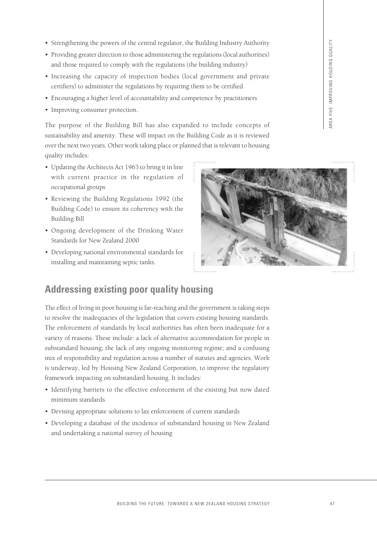- Strengthening the powers of the central regulator, the Building Industry Authority
- Providing greater direction to those administering the regulations (local authorities) and those required to comply with the regulations (the building industry)
- Increasing the capacity of inspection bodies (local government and private certifiers) to administer the regulations by requiring them to be certified
- Encouraging a higher level of accountability and competence by practitioners
- Improving consumer protection.

The purpose of the Building Bill has also expanded to include concepts of sustainability and amenity. These will impact on the Building Code as it is reviewed over the next two years. Other work taking place or planned that is relevant to housing quality includes:

- Updating the Architects Act 1963 to bring it in line with current practice in the regulation of occupational groups
- Reviewing the Building Regulations 1992 (the Building Code) to ensure its coherency with the Building Bill
- Ongoing development of the Drinking Water Standards for New Zealand 2000
- Developing national environmental standards for installing and maintaining septic tanks.



## **Addressing existing poor quality housing**

The effect of living in poor housing is far-reaching and the government is taking steps to resolve the inadequacies of the legislation that covers existing housing standards. The enforcement of standards by local authorities has often been inadequate for a variety of reasons. These include: a lack of alternative accommodation for people in substandard housing; the lack of any ongoing monitoring regime; and a confusing mix of responsibility and regulation across a number of statutes and agencies. Work is underway, led by Housing New Zealand Corporation, to improve the regulatory framework impacting on substandard housing. It includes:

- Identifying barriers to the effective enforcement of the existing but now dated minimum standards
- Devising appropriate solutions to lax enforcement of current standards
- Developing a database of the incidence of substandard housing in New Zealand and undertaking a national survey of housing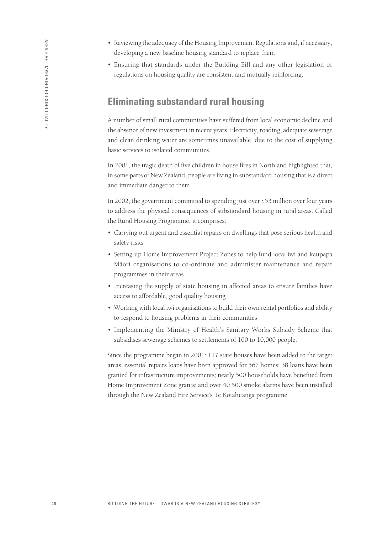- Reviewing the adequacy of the Housing Improvement Regulations and, if necessary, developing a new baseline housing standard to replace them
- Ensuring that standards under the Building Bill and any other legislation or regulations on housing quality are consistent and mutually reinforcing.

## **Eliminating substandard rural housing**

A number of small rural communities have suffered from local economic decline and the absence of new investment in recent years. Electricity, roading, adequate sewerage and clean drinking water are sometimes unavailable, due to the cost of supplying basic services to isolated communities.

In 2001, the tragic death of five children in house fires in Northland highlighted that, in some parts of New Zealand, people are living in substandard housing that is a direct and immediate danger to them.

In 2002, the government committed to spending just over \$53 million over four years to address the physical consequences of substandard housing in rural areas. Called the Rural Housing Programme, it comprises:

- Carrying out urgent and essential repairs on dwellings that pose serious health and safety risks
- Setting up Home Improvement Project Zones to help fund local iwi and kaupapa Māori organisations to co-ordinate and administer maintenance and repair programmes in their areas
- Increasing the supply of state housing in affected areas to ensure families have access to affordable, good quality housing
- Working with local iwi organisations to build their own rental portfolios and ability to respond to housing problems in their communities
- Implementing the Ministry of Health's Sanitary Works Subsidy Scheme that subsidises sewerage schemes to settlements of 100 to 10,000 people.

Since the programme began in 2001: 117 state houses have been added to the target areas; essential repairs loans have been approved for 567 homes; 38 loans have been granted for infrastructure improvements; nearly 500 households have benefited from Home Improvement Zone grants; and over 40,500 smoke alarms have been installed through the New Zealand Fire Service's Te Kotahitanga programme.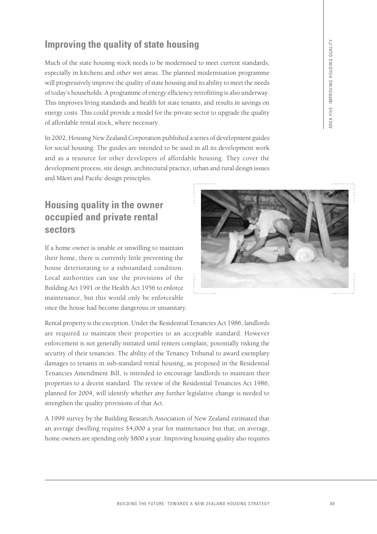## **Improving the quality of state housing**

Much of the state housing stock needs to be modernised to meet current standards, especially in kitchens and other wet areas. The planned modernisation programme will progressively improve the quality of state housing and its ability to meet the needs of today's households. A programme of energy efficiency retrofitting is also underway. This improves living standards and health for state tenants, and results in savings on energy costs. This could provide a model for the private sector to upgrade the quality of affordable rental stock, where necessary.

In 2002, Housing New Zealand Corporation published a series of development guides for social housing. The guides are intended to be used in all its development work and as a resource for other developers of affordable housing. They cover the development process, site design, architectural practice, urban and rural design issues and Māori and Pacific design principles.

## **Housing quality in the owner occupied and private rental sectors**

If a home owner is unable or unwilling to maintain their home, there is currently little preventing the house deteriorating to a substandard condition. Local authorities can use the provisions of the Building Act 1991 or the Health Act 1956 to enforce maintenance, but this would only be enforceable once the house had become dangerous or unsanitary.

Rental property is the exception. Under the Residential Tenancies Act 1986, landlords are required to maintain their properties to an acceptable standard. However enforcement is not generally initiated until renters complain, potentially risking the security of their tenancies. The ability of the Tenancy Tribunal to award exemplary damages to tenants in sub-standard rental housing, as proposed in the Residential Tenancies Amendment Bill, is intended to encourage landlords to maintain their properties to a decent standard. The review of the Residential Tenancies Act 1986, planned for 2004, will identify whether any further legislative change is needed to strengthen the quality provisions of that Act.

A 1999 survey by the Building Research Association of New Zealand estimated that an average dwelling requires \$4,000 a year for maintenance but that, on average, home owners are spending only \$800 a year. Improving housing quality also requires



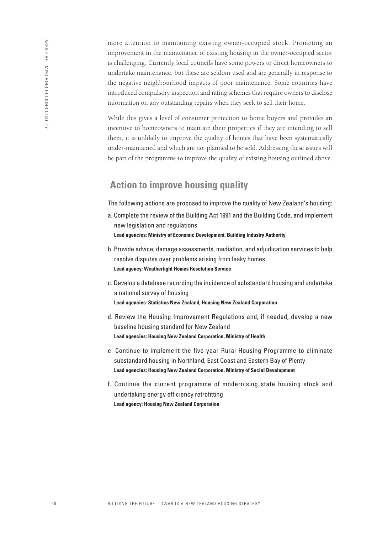more attention to maintaining existing owner-occupied stock. Promoting an improvement in the maintenance of existing housing in the owner-occupied sector is challenging. Currently local councils have some powers to direct homeowners to undertake maintenance, but these are seldom used and are generally in response to the negative neighbourhood impacts of poor maintenance. Some countries have introduced compulsory inspection and rating schemes that require owners to disclose information on any outstanding repairs when they seek to sell their home.

While this gives a level of consumer protection to home buyers and provides an incentive to homeowners to maintain their properties if they are intending to sell them, it is unlikely to improve the quality of homes that have been systematically under-maintained and which are not planned to be sold. Addressing these issues will be part of the programme to improve the quality of existing housing outlined above.

## **Action to improve housing quality**

The following actions are proposed to improve the quality of New Zealand's housing:

- a. Complete the review of the Building Act 1991 and the Building Code, and implement new legislation and regulations **Lead agencies: Ministry of Economic Development, Building Industry Authority**
- b. Provide advice, damage assessments, mediation, and adjudication services to help resolve disputes over problems arising from leaky homes **Lead agency: Weathertight Homes Resolution Service**
- c. Develop a database recording the incidence of substandard housing and undertake a national survey of housing **Lead agencies: Statistics New Zealand, Housing New Zealand Corporation**
- d. Review the Housing Improvement Regulations and, if needed, develop a new baseline housing standard for New Zealand **Lead agencies: Housing New Zealand Corporation, Ministry of Health**
- e. Continue to implement the five-year Rural Housing Programme to eliminate substandard housing in Northland, East Coast and Eastern Bay of Plenty **Lead agencies: Housing New Zealand Corporation, Ministry of Social Development**
- f. Continue the current programme of modernising state housing stock and undertaking energy efficiency retrofitting **Lead agency: Housing New Zealand Corporation**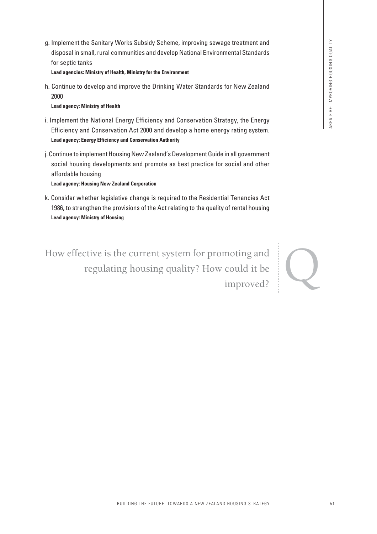g. Implement the Sanitary Works Subsidy Scheme, improving sewage treatment and disposal in small, rural communities and develop National Environmental Standards for septic tanks

**Lead agencies: Ministry of Health, Ministry for the Environment**

h. Continue to develop and improve the Drinking Water Standards for New Zealand 2000

### **Lead agency: Ministry of Health**

- i. Implement the National Energy Efficiency and Conservation Strategy, the Energy Efficiency and Conservation Act 2000 and develop a home energy rating system. **Lead agency: Energy Efficiency and Conservation Authority**
- j. Continue to implement Housing New Zealand's Development Guide in all government social housing developments and promote as best practice for social and other affordable housing

**Lead agency: Housing New Zealand Corporation**

k. Consider whether legislative change is required to the Residential Tenancies Act 1986, to strengthen the provisions of the Act relating to the quality of rental housing **Lead agency: Ministry of Housing**

Veris. Subsidiy Schorine, improving sexual treatment and<br>the minimization and devotion Mational Environmental Standards<br>simple.<br>improve the Drinking Water Standards for New Zealand<br>improve the Drinking Water Standards for How effective is the current system for promoting and regulating housing quality? How could it be improved?

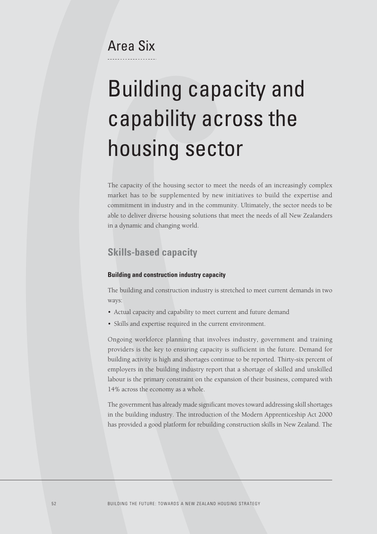## Area Six

# Building capacity and capability across the housing sector

The capacity of the housing sector to meet the needs of an increasingly complex market has to be supplemented by new initiatives to build the expertise and commitment in industry and in the community. Ultimately, the sector needs to be able to deliver diverse housing solutions that meet the needs of all New Zealanders in a dynamic and changing world.

### **Skills-based capacity**

### **Building and construction industry capacity**

The building and construction industry is stretched to meet current demands in two ways:

- Actual capacity and capability to meet current and future demand
- Skills and expertise required in the current environment.

Ongoing workforce planning that involves industry, government and training providers is the key to ensuring capacity is sufficient in the future. Demand for building activity is high and shortages continue to be reported. Thirty-six percent of employers in the building industry report that a shortage of skilled and unskilled labour is the primary constraint on the expansion of their business, compared with 14% across the economy as a whole.

The government has already made significant moves toward addressing skill shortages in the building industry. The introduction of the Modern Apprenticeship Act 2000 has provided a good platform for rebuilding construction skills in New Zealand. The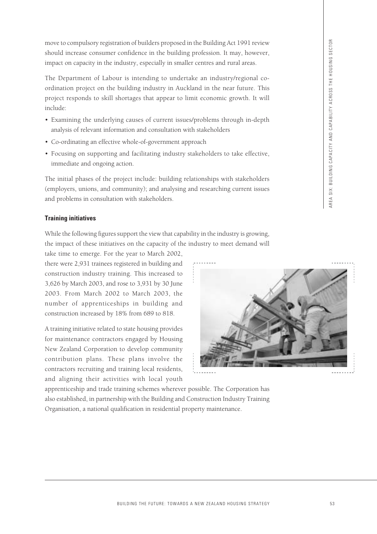move to compulsory registration of builders proposed in the Building Act 1991 review should increase consumer confidence in the building profession. It may, however, impact on capacity in the industry, especially in smaller centres and rural areas.

The Department of Labour is intending to undertake an industry/regional coordination project on the building industry in Auckland in the near future. This project responds to skill shortages that appear to limit economic growth. It will include:

- Examining the underlying causes of current issues/problems through in-depth analysis of relevant information and consultation with stakeholders
- Co-ordinating an effective whole-of-government approach
- Focusing on supporting and facilitating industry stakeholders to take effective, immediate and ongoing action.

The initial phases of the project include: building relationships with stakeholders (employers, unions, and community); and analysing and researching current issues and problems in consultation with stakeholders.

### **Training initiatives**

While the following figures support the view that capability in the industry is growing, the impact of these initiatives on the capacity of the industry to meet demand will

take time to emerge. For the year to March 2002, there were 2,931 trainees registered in building and construction industry training. This increased to 3,626 by March 2003, and rose to 3,931 by 30 June 2003. From March 2002 to March 2003, the number of apprenticeships in building and construction increased by 18% from 689 to 818.

A training initiative related to state housing provides for maintenance contractors engaged by Housing New Zealand Corporation to develop community contribution plans. These plans involve the contractors recruiting and training local residents, and aligning their activities with local youth

apprenticeship and trade training schemes wherever possible. The Corporation has also established, in partnership with the Building and Construction Industry Training Organisation, a national qualification in residential property maintenance.

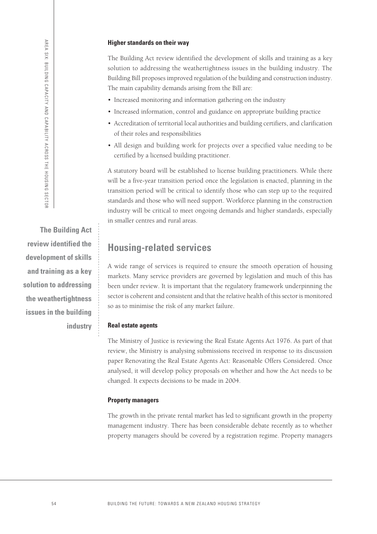#### **Higher standards on their way**

The Building Act review identified the development of skills and training as a key solution to addressing the weathertightness issues in the building industry. The Building Bill proposes improved regulation of the building and construction industry. The main capability demands arising from the Bill are:

- Increased monitoring and information gathering on the industry
- Increased information, control and guidance on appropriate building practice
- Accreditation of territorial local authorities and building certifiers, and clarification of their roles and responsibilities
- All design and building work for projects over a specified value needing to be certified by a licensed building practitioner.

A statutory board will be established to license building practitioners. While there will be a five-year transition period once the legislation is enacted, planning in the transition period will be critical to identify those who can step up to the required standards and those who will need support. Workforce planning in the construction industry will be critical to meet ongoing demands and higher standards, especially in smaller centres and rural areas.

## **Housing-related services**

A wide range of services is required to ensure the smooth operation of housing markets. Many service providers are governed by legislation and much of this has been under review. It is important that the regulatory framework underpinning the sector is coherent and consistent and that the relative health of this sector is monitored so as to minimise the risk of any market failure.

### **Real estate agents**

The Ministry of Justice is reviewing the Real Estate Agents Act 1976. As part of that review, the Ministry is analysing submissions received in response to its discussion paper Renovating the Real Estate Agents Act: Reasonable Offers Considered. Once analysed, it will develop policy proposals on whether and how the Act needs to be changed. It expects decisions to be made in 2004.

### **Property managers**

The growth in the private rental market has led to significant growth in the property management industry. There has been considerable debate recently as to whether property managers should be covered by a registration regime. Property managers

**The Building Act review identified the development of skills and training as a key solution to addressing the weathertightness issues in the building industry**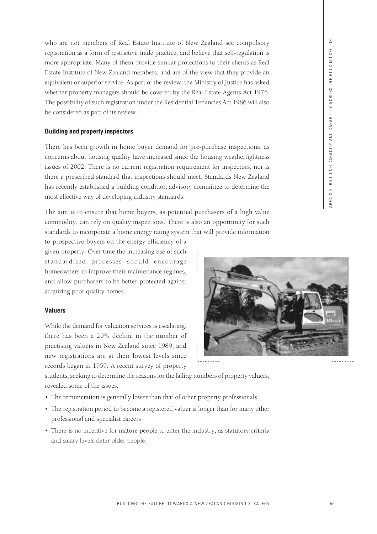who are not members of Real Estate Institute of New Zealand see compulsory registration as a form of restrictive trade practice, and believe that self-regulation is more appropriate. Many of them provide similar protections to their clients as Real Estate Institute of New Zealand members, and are of the view that they provide an equivalent or superior service. As part of the review, the Ministry of Justice has asked whether property managers should be covered by the Real Estate Agents Act 1976. The possibility of such registration under the Residential Tenancies Act 1986 will also be considered as part of its review.

### **Building and property inspectors**

There has been growth in home buyer demand for pre-purchase inspections, as concerns about housing quality have increased since the housing weathertightness issues of 2002. There is no current registration requirement for inspectors, nor is there a prescribed standard that inspections should meet. Standards New Zealand has recently established a building condition advisory committee to determine the most effective way of developing industry standards.

The aim is to ensure that home buyers, as potential purchasers of a high value commodity, can rely on quality inspections. There is also an opportunity for such standards to incorporate a home energy rating system that will provide information

to prospective buyers on the energy efficiency of a given property. Over time the increasing use of such standardised processes should encourage homeowners to improve their maintenance regimes, and allow purchasers to be better protected against acquiring poor quality homes.

### **Valuers**

While the demand for valuation services is escalating, there has been a 20% decline in the number of practising valuers in New Zealand since 1989, and new registrations are at their lowest levels since records began in 1959. A recent survey of property



students, seeking to determine the reasons for the falling numbers of property valuers, revealed some of the issues:

- The remuneration is generally lower than that of other property professionals
- The registration period to become a registered valuer is longer than for many other professional and specialist careers
- There is no incentive for mature people to enter the industry, as statutory criteria and salary levels deter older people.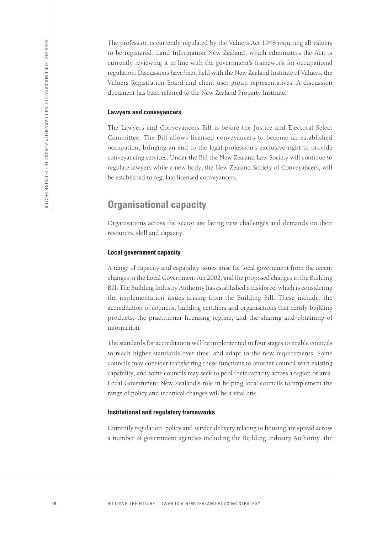The profession is currently regulated by the Valuers Act 1948 requiring all valuers to be registered. Land Information New Zealand, which administers the Act, is currently reviewing it in line with the government's framework for occupational regulation. Discussions have been held with the New Zealand Institute of Valuers, the Valuers Registration Board and client user group representatives. A discussion document has been referred to the New Zealand Property Institute.

#### **Lawyers and conveyancers**

The Lawyers and Conveyancers Bill is before the Justice and Electoral Select Committee. The Bill allows licensed conveyancers to become an established occupation, bringing an end to the legal profession's exclusive right to provide conveyancing services. Under the Bill the New Zealand Law Society will continue to regulate lawyers while a new body, the New Zealand Society of Conveyancers, will be established to regulate licensed conveyancers.

## **Organisational capacity**

Organisations across the sector are facing new challenges and demands on their resources, skill and capacity.

#### **Local government capacity**

A range of capacity and capability issues arise for local government from the recent changes in the Local Government Act 2002, and the proposed changes in the Building Bill. The Building Industry Authority has established a taskforce, which is considering the implementation issues arising from the Building Bill. These include: the accreditation of councils, building certifiers and organisations that certify building products; the practitioner licensing regime; and the sharing and obtaining of information.

The standards for accreditation will be implemented in four stages to enable councils to reach higher standards over time, and adapt to the new requirements. Some councils may consider transferring these functions to another council with existing capability, and some councils may seek to pool their capacity across a region or area. Local Government New Zealand's role in helping local councils to implement the range of policy and technical changes will be a vital one.

#### **Institutional and regulatory frameworks**

Currently regulation, policy and service delivery relating to housing are spread across a number of government agencies including the Building Industry Authority, the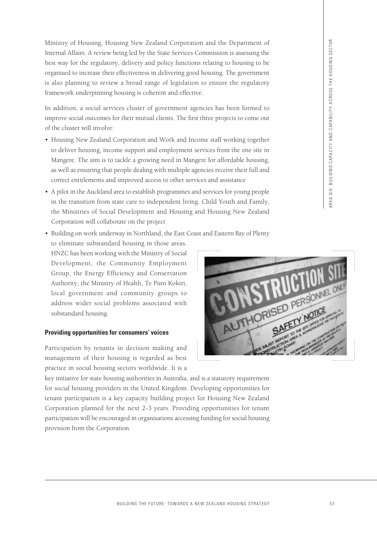Ministry of Housing, Housing New Zealand Corporation and the Department of Internal Affairs. A review being led by the State Services Commission is assessing the best way for the regulatory, delivery and policy functions relating to housing to be organised to increase their effectiveness in delivering good housing. The government is also planning to review a broad range of legislation to ensure the regulatory framework underpinning housing is coherent and effective.

In addition, a social services cluster of government agencies has been formed to improve social outcomes for their mutual clients. The first three projects to come out of the cluster will involve:

- Housing New Zealand Corporation and Work and Income staff working together to deliver housing, income support and employment services from the one site in Mangere. The aim is to tackle a growing need in Mangere for affordable housing, as well as ensuring that people dealing with multiple agencies receive their full and correct entitlements and improved access to other services and assistance
- A pilot in the Auckland area to establish programmes and services for young people in the transition from state care to independent living. Child Youth and Family, the Ministries of Social Development and Housing and Housing New Zealand Corporation will collaborate on the project
- Building on work underway in Northland, the East Coast and Eastern Bay of Plenty to eliminate substandard housing in those areas. HNZC has been working with the Ministry of Social Development, the Community Employment Group, the Energy Efficiency and Conservation Authority, the Ministry of Health, Te Puni Kokiri, local government and community groups to address wider social problems associated with substandard housing.

### **Providing opportunities for consumers' voices**

Participation by tenants in decision making and management of their housing is regarded as best practice in social housing sectors worldwide. It is a

key initiative for state housing authorities in Australia, and is a statutory requirement for social housing providers in the United Kingdom. Developing opportunities for tenant participation is a key capacity building project for Housing New Zealand Corporation planned for the next 2-3 years. Providing opportunities for tenant participation will be encouraged in organisations accessing funding for social housing provision from the Corporation.

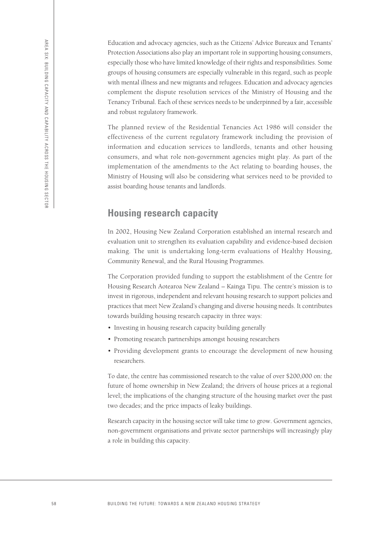Education and advocacy agencies, such as the Citizens' Advice Bureaux and Tenants' Protection Associations also play an important role in supporting housing consumers, especially those who have limited knowledge of their rights and responsibilities. Some groups of housing consumers are especially vulnerable in this regard, such as people with mental illness and new migrants and refugees. Education and advocacy agencies complement the dispute resolution services of the Ministry of Housing and the Tenancy Tribunal. Each of these services needs to be underpinned by a fair, accessible and robust regulatory framework.

The planned review of the Residential Tenancies Act 1986 will consider the effectiveness of the current regulatory framework including the provision of information and education services to landlords, tenants and other housing consumers, and what role non-government agencies might play. As part of the implementation of the amendments to the Act relating to boarding houses, the Ministry of Housing will also be considering what services need to be provided to assist boarding house tenants and landlords.

### **Housing research capacity**

In 2002, Housing New Zealand Corporation established an internal research and evaluation unit to strengthen its evaluation capability and evidence-based decision making. The unit is undertaking long-term evaluations of Healthy Housing, Community Renewal, and the Rural Housing Programmes.

The Corporation provided funding to support the establishment of the Centre for Housing Research Aotearoa New Zealand – Kainga Tipu. The centre's mission is to invest in rigorous, independent and relevant housing research to support policies and practices that meet New Zealand's changing and diverse housing needs. It contributes towards building housing research capacity in three ways:

- Investing in housing research capacity building generally
- Promoting research partnerships amongst housing researchers
- Providing development grants to encourage the development of new housing researchers.

To date, the centre has commissioned research to the value of over \$200,000 on: the future of home ownership in New Zealand; the drivers of house prices at a regional level; the implications of the changing structure of the housing market over the past two decades; and the price impacts of leaky buildings.

Research capacity in the housing sector will take time to grow. Government agencies, non-government organisations and private sector partnerships will increasingly play a role in building this capacity.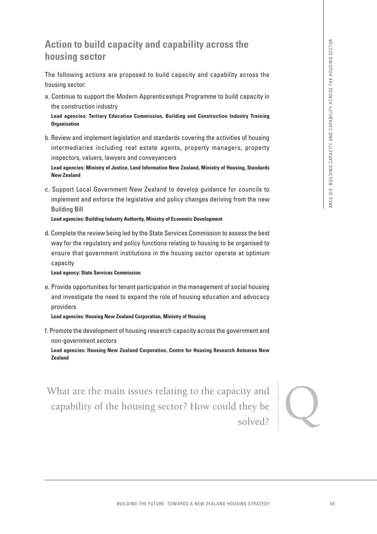## **Action to build capacity and capability across the housing sector**

The following actions are proposed to build capacity and capability across the housing sector:

a. Continue to support the Modern Apprenticeships Programme to build capacity in the construction industry

**Lead agencies: Tertiary Education Commission, Building and Construction Industry Training Organisation**

b. Review and implement legislation and standards covering the activities of housing intermediaries including real estate agents, property managers, property inspectors, valuers, lawyers and conveyancers

**Lead agencies: Ministry of Justice, Land Information New Zealand, Ministry of Housing, Standards New Zealand**

c. Support Local Government New Zealand to develop guidance for councils to implement and enforce the legislative and policy changes deriving from the new Building Bill

**Lead agencies: Building Industry Authority, Ministry of Economic Development**

d. Complete the review being led by the State Services Commission to assess the best way for the regulatory and policy functions relating to housing to be organised to ensure that government institutions in the housing sector operate at optimum capacity

#### **Lead agency: State Services Commission**

e. Provide opportunities for tenant participation in the management of social housing and investigate the need to expand the role of housing education and advocacy providers

**Lead agencies: Housing New Zealand Corporation, Ministry of Housing**

f. Promote the development of housing research capacity across the government and non-government sectors

**Lead agencies: Housing New Zealand Corporation, Centre for Housing Research Aotearoa New Zealand**

**Example 12 Example 12 Example 12 Example 12 Example 12 Example 12 Example 12 Example 12 Example 12 Example 12 Example 12 Example 12 Example 12 Example 12 Example 12 Example 12 Example 12** What are the main issues relating to the capacity and capability of the housing sector? How could they be solved? capability of the housing sector? How could they be solved?

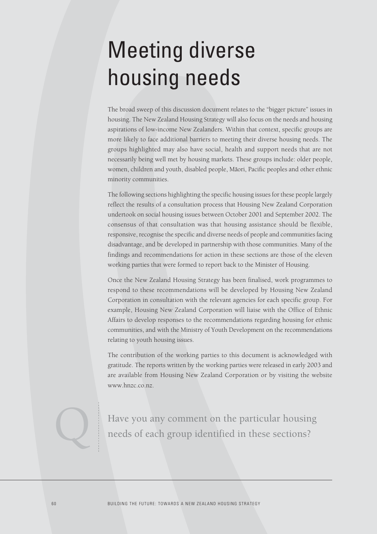## Meeting diverse housing needs

The broad sweep of this discussion document relates to the "bigger picture" issues in housing. The New Zealand Housing Strategy will also focus on the needs and housing aspirations of low-income New Zealanders. Within that context, specific groups are more likely to face additional barriers to meeting their diverse housing needs. The groups highlighted may also have social, health and support needs that are not necessarily being well met by housing markets. These groups include: older people, women, children and youth, disabled people, Māori, Pacific peoples and other ethnic minority communities.

The following sections highlighting the specific housing issues for these people largely reflect the results of a consultation process that Housing New Zealand Corporation undertook on social housing issues between October 2001 and September 2002. The consensus of that consultation was that housing assistance should be flexible, responsive, recognise the specific and diverse needs of people and communities facing disadvantage, and be developed in partnership with those communities. Many of the findings and recommendations for action in these sections are those of the eleven working parties that were formed to report back to the Minister of Housing.

Once the New Zealand Housing Strategy has been finalised, work programmes to respond to these recommendations will be developed by Housing New Zealand Corporation in consultation with the relevant agencies for each specific group. For example, Housing New Zealand Corporation will liaise with the Office of Ethnic Affairs to develop responses to the recommendations regarding housing for ethnic communities, and with the Ministry of Youth Development on the recommendations relating to youth housing issues.

The contribution of the working parties to this document is acknowledged with gratitude. The reports written by the working parties were released in early 2003 and are available from Housing New Zealand Corporation or by visiting the website www.hnzc.co.nz.

Have you any comment on the particular housing needs of each group identified in these sections?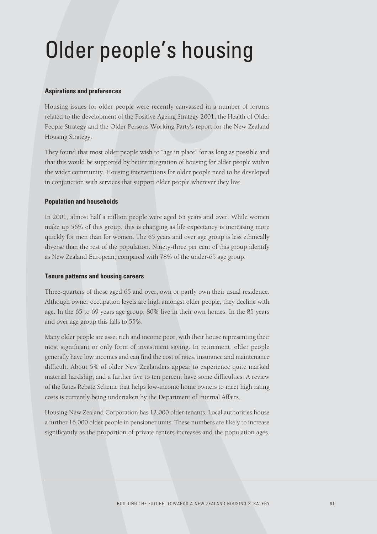## Older people's housing

### **Aspirations and preferences**

Housing issues for older people were recently canvassed in a number of forums related to the development of the Positive Ageing Strategy 2001, the Health of Older People Strategy and the Older Persons Working Party's report for the New Zealand Housing Strategy.

They found that most older people wish to "age in place" for as long as possible and that this would be supported by better integration of housing for older people within the wider community. Housing interventions for older people need to be developed in conjunction with services that support older people wherever they live.

#### **Population and households**

In 2001, almost half a million people were aged 65 years and over. While women make up 56% of this group, this is changing as life expectancy is increasing more quickly for men than for women. The 65 years and over age group is less ethnically diverse than the rest of the population. Ninety-three per cent of this group identify as New Zealand European, compared with 78% of the under-65 age group.

#### **Tenure patterns and housing careers**

Three-quarters of those aged 65 and over, own or partly own their usual residence. Although owner occupation levels are high amongst older people, they decline with age. In the 65 to 69 years age group, 80% live in their own homes. In the 85 years and over age group this falls to 55%.

Many older people are asset rich and income poor, with their house representing their most significant or only form of investment saving. In retirement, older people generally have low incomes and can find the cost of rates, insurance and maintenance difficult. About 5% of older New Zealanders appear to experience quite marked material hardship, and a further five to ten percent have some difficulties. A review of the Rates Rebate Scheme that helps low-income home owners to meet high rating costs is currently being undertaken by the Department of Internal Affairs.

Housing New Zealand Corporation has 12,000 older tenants. Local authorities house a further 16,000 older people in pensioner units. These numbers are likely to increase significantly as the proportion of private renters increases and the population ages.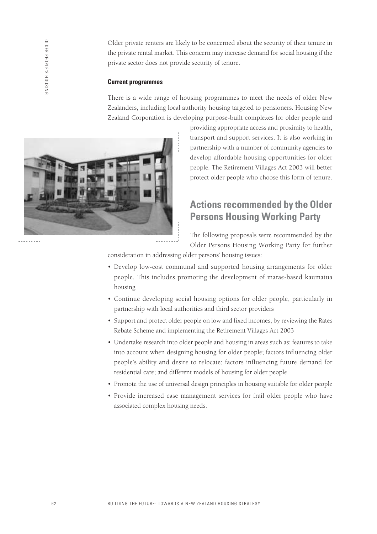OLDER PEOPLE'S HOUSING OLDER PEOPLE'S HOUSING Older private renters are likely to be concerned about the security of their tenure in the private rental market. This concern may increase demand for social housing if the private sector does not provide security of tenure.

#### **Current programmes**

There is a wide range of housing programmes to meet the needs of older New Zealanders, including local authority housing targeted to pensioners. Housing New Zealand Corporation is developing purpose-built complexes for older people and



providing appropriate access and proximity to health, transport and support services. It is also working in partnership with a number of community agencies to develop affordable housing opportunities for older people. The Retirement Villages Act 2003 will better protect older people who choose this form of tenure.

## **Actions recommended by the Older Persons Housing Working Party**

The following proposals were recommended by the Older Persons Housing Working Party for further

consideration in addressing older persons' housing issues:

- Develop low-cost communal and supported housing arrangements for older people. This includes promoting the development of marae-based kaumatua housing
- Continue developing social housing options for older people, particularly in partnership with local authorities and third sector providers
- Support and protect older people on low and fixed incomes, by reviewing the Rates Rebate Scheme and implementing the Retirement Villages Act 2003
- Undertake research into older people and housing in areas such as: features to take into account when designing housing for older people; factors influencing older people's ability and desire to relocate; factors influencing future demand for residential care; and different models of housing for older people
- Promote the use of universal design principles in housing suitable for older people
- Provide increased case management services for frail older people who have associated complex housing needs.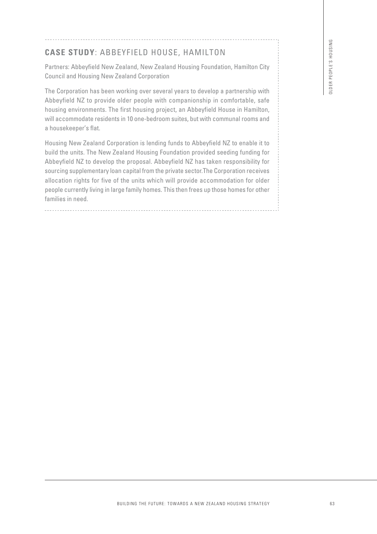## **CASE STUDY**: ABBEYFIELD HOUSE, HAMILTON

Partners: Abbeyfield New Zealand, New Zealand Housing Foundation, Hamilton City Council and Housing New Zealand Corporation

The Corporation has been working over several years to develop a partnership with Abbeyfield NZ to provide older people with companionship in comfortable, safe housing environments. The first housing project, an Abbeyfield House in Hamilton, will accommodate residents in 10 one-bedroom suites, but with communal rooms and a housekeeper's flat.

Housing New Zealand Corporation is lending funds to Abbeyfield NZ to enable it to build the units. The New Zealand Housing Foundation provided seeding funding for Abbeyfield NZ to develop the proposal. Abbeyfield NZ has taken responsibility for sourcing supplementary loan capital from the private sector.The Corporation receives allocation rights for five of the units which will provide accommodation for older people currently living in large family homes. This then frees up those homes for other families in need. EYFIELD HOUSE, HAMILTON<br>Coaland, New Zoaland Housing Foundation, Hamilton City<br>coaland Corporation<br>and Coprosting<br>dianely agents was the develop a partnership with<br>their people with comparisonship in comfortable, safe<br>in t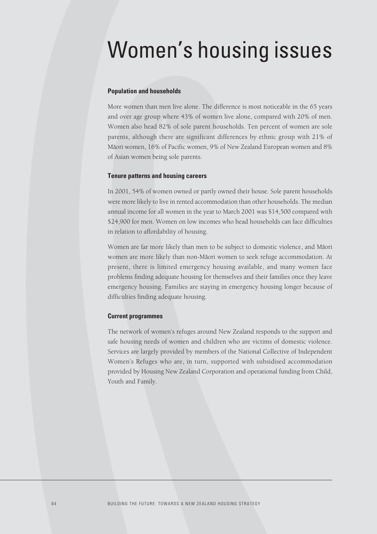## Women's housing issues

#### **Population and households**

More women than men live alone. The difference is most noticeable in the 65 years and over age group where 43% of women live alone, compared with 20% of men. Women also head 82% of sole parent households. Ten percent of women are sole parents, although there are significant differences by ethnic group with 21% of Māori women, 16% of Pacific women, 9% of New Zealand European women and 8% of Asian women being sole parents.

#### **Tenure patterns and housing careers**

In 2001, 54% of women owned or partly owned their house. Sole parent households were more likely to live in rented accommodation than other households. The median annual income for all women in the year to March 2001 was \$14,500 compared with \$24,900 for men. Women on low incomes who head households can face difficulties in relation to affordability of housing.

Women are far more likely than men to be subject to domestic violence, and Māori women are more likely than non-Māori women to seek refuge accommodation. At present, there is limited emergency housing available, and many women face problems finding adequate housing for themselves and their families once they leave emergency housing. Families are staying in emergency housing longer because of difficulties finding adequate housing.

#### **Current programmes**

The network of women's refuges around New Zealand responds to the support and safe housing needs of women and children who are victims of domestic violence. Services are largely provided by members of the National Collective of Independent Women's Refuges who are, in turn, supported with subsidised accommodation provided by Housing New Zealand Corporation and operational funding from Child, Youth and Family.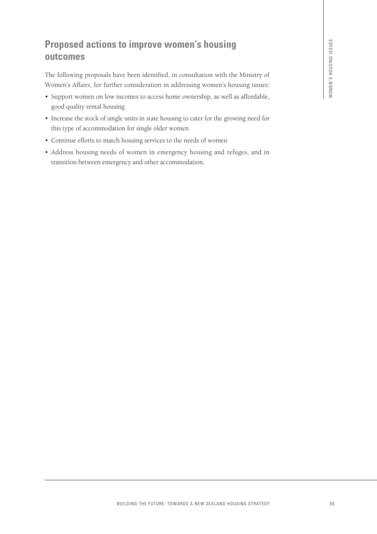## **Proposed actions to improve women's housing outcomes**

The following proposals have been identified, in consultation with the Ministry of Women's Affairs, for further consideration in addressing women's housing issues:

- Support women on low incomes to access home ownership, as well as affordable, good quality rental housing **EXAMPLE THE FUTURE:** THE FUTURE TOWARDS A NEW ZEALAND HOUSING STRATEGY<br>
The consideration in addressing women's housing issues:<br>
The consideration in addressing women's housing issues:<br>
The consideration is considered to
- Increase the stock of single units in state housing to cater for the growing need for this type of accommodation for single older women
- Continue efforts to match housing services to the needs of women
- Address housing needs of women in emergency housing and refuges, and in transition between emergency and other accommodation.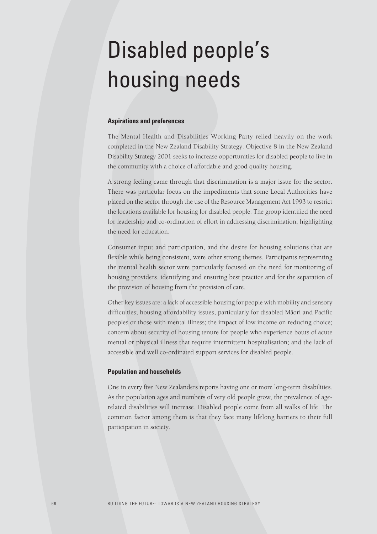## Disabled people's housing needs

#### **Aspirations and preferences**

The Mental Health and Disabilities Working Party relied heavily on the work completed in the New Zealand Disability Strategy. Objective 8 in the New Zealand Disability Strategy 2001 seeks to increase opportunities for disabled people to live in the community with a choice of affordable and good quality housing.

A strong feeling came through that discrimination is a major issue for the sector. There was particular focus on the impediments that some Local Authorities have placed on the sector through the use of the Resource Management Act 1993 to restrict the locations available for housing for disabled people. The group identified the need for leadership and co-ordination of effort in addressing discrimination, highlighting the need for education.

Consumer input and participation, and the desire for housing solutions that are flexible while being consistent, were other strong themes. Participants representing the mental health sector were particularly focused on the need for monitoring of housing providers, identifying and ensuring best practice and for the separation of the provision of housing from the provision of care.

Other key issues are: a lack of accessible housing for people with mobility and sensory difficulties; housing affordability issues, particularly for disabled Māori and Pacific peoples or those with mental illness; the impact of low income on reducing choice; concern about security of housing tenure for people who experience bouts of acute mental or physical illness that require intermittent hospitalisation; and the lack of accessible and well co-ordinated support services for disabled people.

#### **Population and households**

One in every five New Zealanders reports having one or more long-term disabilities. As the population ages and numbers of very old people grow, the prevalence of agerelated disabilities will increase. Disabled people come from all walks of life. The common factor among them is that they face many lifelong barriers to their full participation in society.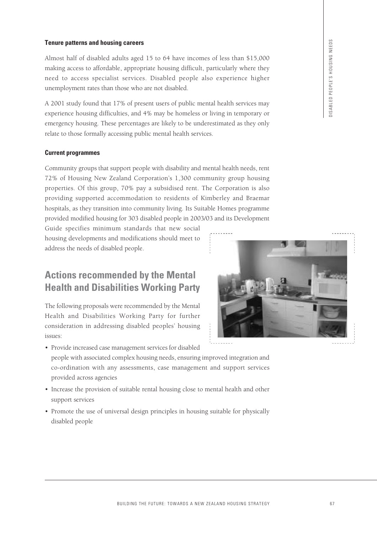#### **Tenure patterns and housing careers**

Almost half of disabled adults aged 15 to 64 have incomes of less than \$15,000 making access to affordable, appropriate housing difficult, particularly where they need to access specialist services. Disabled people also experience higher unemployment rates than those who are not disabled.

A 2001 study found that 17% of present users of public mental health services may experience housing difficulties, and 4% may be homeless or living in temporary or emergency housing. These percentages are likely to be underestimated as they only relate to those formally accessing public mental health services.

#### **Current programmes**

Community groups that support people with disability and mental health needs, rent 72% of Housing New Zealand Corporation's 1,300 community group housing properties. Of this group, 70% pay a subsidised rent. The Corporation is also providing supported accommodation to residents of Kimberley and Braemar hospitals, as they transition into community living. Its Suitable Homes programme provided modified housing for 303 disabled people in 2003/03 and its Development

Guide specifies minimum standards that new social housing developments and modifications should meet to address the needs of disabled people.

## **Actions recommended by the Mental Health and Disabilities Working Party**

The following proposals were recommended by the Mental Health and Disabilities Working Party for further consideration in addressing disabled peoples' housing issues:

• Provide increased case management services for disabled



- people with associated complex housing needs, ensuring improved integration and co-ordination with any assessments, case management and support services provided across agencies
- Increase the provision of suitable rental housing close to mental health and other support services
- Promote the use of universal design principles in housing suitable for physically disabled people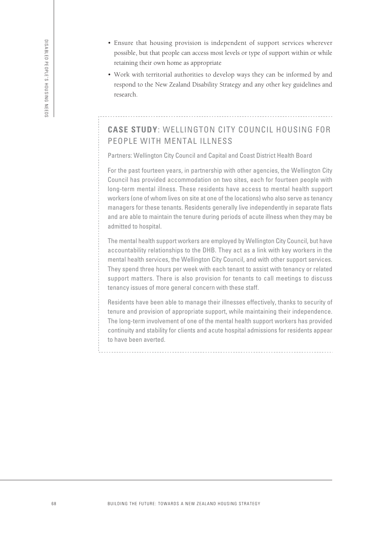- Ensure that housing provision is independent of support services wherever possible, but that people can access most levels or type of support within or while retaining their own home as appropriate
- Work with territorial authorities to develop ways they can be informed by and respond to the New Zealand Disability Strategy and any other key guidelines and research.

## **CASE STUDY**: WELLINGTON CITY COUNCIL HOUSING FOR PEOPLE WITH MENTAL ILLNESS

Partners: Wellington City Council and Capital and Coast District Health Board

For the past fourteen years, in partnership with other agencies, the Wellington City Council has provided accommodation on two sites, each for fourteen people with long-term mental illness. These residents have access to mental health support workers (one of whom lives on site at one of the locations) who also serve as tenancy managers for these tenants. Residents generally live independently in separate flats and are able to maintain the tenure during periods of acute illness when they may be admitted to hospital.

The mental health support workers are employed by Wellington City Council, but have accountability relationships to the DHB. They act as a link with key workers in the mental health services, the Wellington City Council, and with other support services. They spend three hours per week with each tenant to assist with tenancy or related support matters. There is also provision for tenants to call meetings to discuss tenancy issues of more general concern with these staff.

Residents have been able to manage their illnesses effectively, thanks to security of tenure and provision of appropriate support, while maintaining their independence. The long-term involvement of one of the mental health support workers has provided continuity and stability for clients and acute hospital admissions for residents appear to have been averted.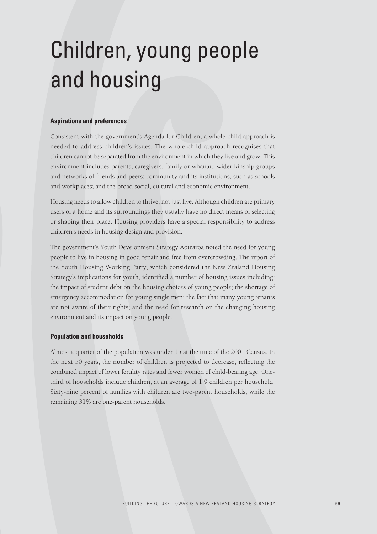## Children, young people and housing

#### **Aspirations and preferences**

Consistent with the government's Agenda for Children, a whole-child approach is needed to address children's issues. The whole-child approach recognises that children cannot be separated from the environment in which they live and grow. This environment includes parents, caregivers, family or whanau; wider kinship groups and networks of friends and peers; community and its institutions, such as schools and workplaces; and the broad social, cultural and economic environment.

Housing needs to allow children to thrive, not just live. Although children are primary users of a home and its surroundings they usually have no direct means of selecting or shaping their place. Housing providers have a special responsibility to address children's needs in housing design and provision.

The government's Youth Development Strategy Aotearoa noted the need for young people to live in housing in good repair and free from overcrowding. The report of the Youth Housing Working Party, which considered the New Zealand Housing Strategy's implications for youth, identified a number of housing issues including: the impact of student debt on the housing choices of young people; the shortage of emergency accommodation for young single men; the fact that many young tenants are not aware of their rights; and the need for research on the changing housing environment and its impact on young people.

### **Population and households**

Almost a quarter of the population was under 15 at the time of the 2001 Census. In the next 50 years, the number of children is projected to decrease, reflecting the combined impact of lower fertility rates and fewer women of child-bearing age. Onethird of households include children, at an average of 1.9 children per household. Sixty-nine percent of families with children are two-parent households, while the remaining 31% are one-parent households.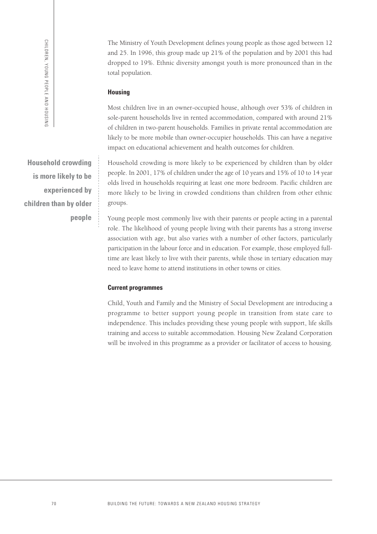The Ministry of Youth Development defines young people as those aged between 12 and 25. In 1996, this group made up 21% of the population and by 2001 this had dropped to 19%. Ethnic diversity amongst youth is more pronounced than in the total population.

#### **Housing**

Most children live in an owner-occupied house, although over 53% of children in sole-parent households live in rented accommodation, compared with around 21% of children in two-parent households. Families in private rental accommodation are likely to be more mobile than owner-occupier households. This can have a negative impact on educational achievement and health outcomes for children.

Household crowding is more likely to be experienced by children than by older people. In 2001, 17% of children under the age of 10 years and 15% of 10 to 14 year olds lived in households requiring at least one more bedroom. Pacific children are more likely to be living in crowded conditions than children from other ethnic groups.

Young people most commonly live with their parents or people acting in a parental role. The likelihood of young people living with their parents has a strong inverse association with age, but also varies with a number of other factors, particularly participation in the labour force and in education. For example, those employed fulltime are least likely to live with their parents, while those in tertiary education may need to leave home to attend institutions in other towns or cities.

### **Current programmes**

Child, Youth and Family and the Ministry of Social Development are introducing a programme to better support young people in transition from state care to independence. This includes providing these young people with support, life skills training and access to suitable accommodation. Housing New Zealand Corporation will be involved in this programme as a provider or facilitator of access to housing.

**Household crowding is more likely to be experienced by children than by older people**

CHILDREN, YOUNG PEOPLE AND HOUSING

CHILDREN, YOUNG PEOPLE AND HOUSING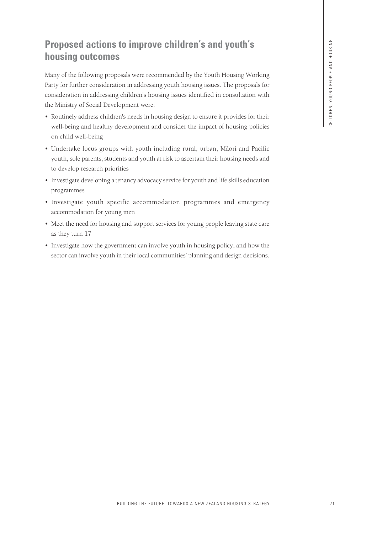## **Proposed actions to improve children's and youth's housing outcomes**

Many of the following proposals were recommended by the Youth Housing Working Party for further consideration in addressing youth housing issues. The proposals for consideration in addressing children's housing issues identified in consultation with the Ministry of Social Development were: **BUILDING THE FUTURE: S** and **youth**<sup>16</sup> S<br>
excels were recommended by the Youth Housing Worlding<br>
conditions for showing issues the proposals for<br>
conditions for showing issues identified in consultanton with<br>
prices th

- Routinely address children's needs in housing design to ensure it provides for their well-being and healthy development and consider the impact of housing policies on child well-being
- Undertake focus groups with youth including rural, urban, Māori and Pacific youth, sole parents, students and youth at risk to ascertain their housing needs and to develop research priorities
- Investigate developing a tenancy advocacy service for youth and life skills education programmes
- Investigate youth specific accommodation programmes and emergency accommodation for young men
- Meet the need for housing and support services for young people leaving state care as they turn 17
- Investigate how the government can involve youth in housing policy, and how the sector can involve youth in their local communities' planning and design decisions.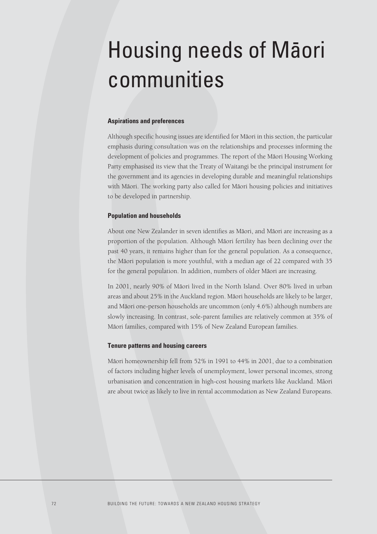## Housing needs of Maori communities

## **Aspirations and preferences**

Although specific housing issues are identified for Māori in this section, the particular emphasis during consultation was on the relationships and processes informing the development of policies and programmes. The report of the Māori Housing Working Party emphasised its view that the Treaty of Waitangi be the principal instrument for the government and its agencies in developing durable and meaningful relationships with Māori. The working party also called for Māori housing policies and initiatives to be developed in partnership.

### **Population and households**

About one New Zealander in seven identifies as Māori, and Māori are increasing as a proportion of the population. Although Māori fertility has been declining over the past 40 years, it remains higher than for the general population. As a consequence, the Māori population is more youthful, with a median age of 22 compared with 35 for the general population. In addition, numbers of older Māori are increasing.

In 2001, nearly 90% of Māori lived in the North Island. Over 80% lived in urban areas and about 25% in the Auckland region. Māori households are likely to be larger, and Māori one-person households are uncommon (only 4.6%) although numbers are slowly increasing. In contrast, sole-parent families are relatively common at 35% of Māori families, compared with 15% of New Zealand European families.

### **Tenure patterns and housing careers**

Māori homeownership fell from 52% in 1991 to 44% in 2001, due to a combination of factors including higher levels of unemployment, lower personal incomes, strong urbanisation and concentration in high-cost housing markets like Auckland. Māori are about twice as likely to live in rental accommodation as New Zealand Europeans.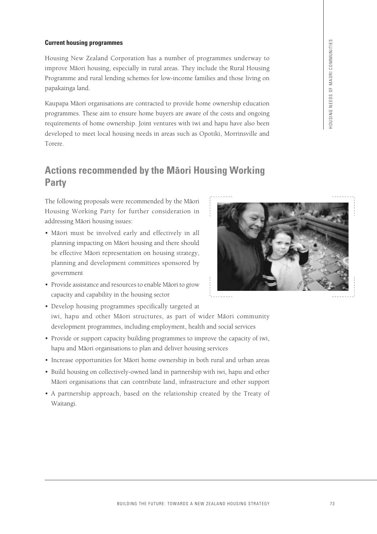## **Current housing programmes**

Housing New Zealand Corporation has a number of programmes underway to improve Māori housing, especially in rural areas. They include the Rural Housing Programme and rural lending schemes for low-income families and those living on papakainga land.

Kaupapa Māori organisations are contracted to provide home ownership education programmes. These aim to ensure home buyers are aware of the costs and ongoing requirements of home ownership. Joint ventures with iwi and hapu have also been developed to meet local housing needs in areas such as Opotiki, Morrinsville and Torere.

## **Actions recommended by the Maori Housing Working Party**

The following proposals were recommended by the Māori Housing Working Party for further consideration in addressing Māori housing issues:

- Māori must be involved early and effectively in all planning impacting on Māori housing and there should be effective Māori representation on housing strategy, planning and development committees sponsored by government
- BUT<br>
BUT THE FUTURE: TOWARDS A NEW YORK THE FUTURE: SUPPOSE THE FUTURE: SUPPOSE THE FUTURE: SUPPOSE A NEW YORK THE SUPPOSE THE STRATEGY OF STRATEGY AND THE SUPPOSE THE SUPPOSE THE SUPPOSE THE SUPPOSE THE SUPPOSE THE SUPPOS
- Provide assistance and resources to enable Māori to grow capacity and capability in the housing sector
- 
- Develop housing programmes specifically targeted at iwi, hapu and other Māori structures, as part of wider Māori community development programmes, including employment, health and social services
- Provide or support capacity building programmes to improve the capacity of iwi, hapu and Māori organisations to plan and deliver housing services
- Increase opportunities for Māori home ownership in both rural and urban areas
- Build housing on collectively-owned land in partnership with iwi, hapu and other Māori organisations that can contribute land, infrastructure and other support
- A partnership approach, based on the relationship created by the Treaty of Waitangi.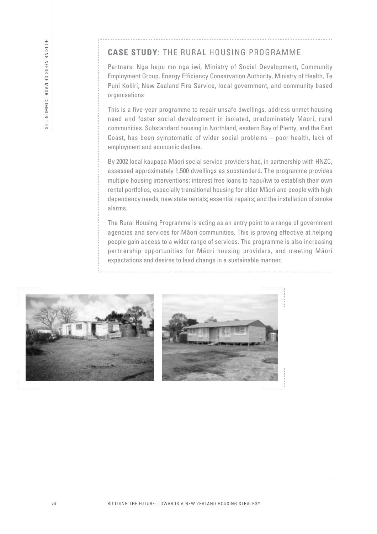## **CASE STUDY**: THE RURAL HOUSING PROGRAMME

Partners: Nga hapu mo nga iwi, Ministry of Social Development, Community Employment Group, Energy Efficiency Conservation Authority, Ministry of Health, Te Puni Kokiri, New Zealand Fire Service, local government, and community based organisations

This is a five-year programme to repair unsafe dwellings, address unmet housing need and foster social development in isolated, predominately Māori, rural communities. Substandard housing in Northland, eastern Bay of Plenty, and the East Coast, has been symptomatic of wider social problems – poor health, lack of employment and economic decline.

By 2002 local kaupapa Māori social service providers had, in partnership with HNZC, assessed approximately 1,500 dwellings as substandard. The programme provides multiple housing interventions: interest free loans to hapu/iwi to establish their own rental portfolios, especially transitional housing for older Maori and people with high dependency needs; new state rentals; essential repairs; and the installation of smoke alarms.

The Rural Housing Programme is acting as an entry point to a range of government agencies and services for Māori communities. This is proving effective at helping people gain access to a wider range of services. The programme is also increasing partnership opportunities for Māori housing providers, and meeting Māori expectations and desires to lead change in a sustainable manner.



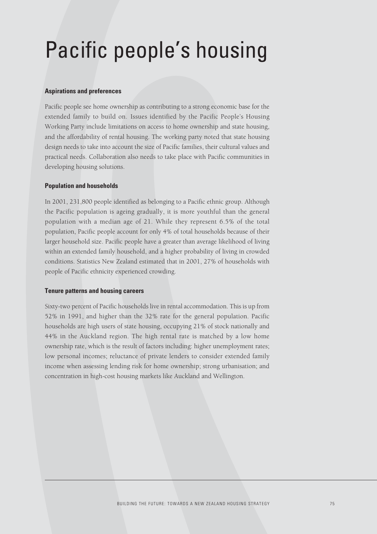## Pacific people's housing

## **Aspirations and preferences**

Pacific people see home ownership as contributing to a strong economic base for the extended family to build on. Issues identified by the Pacific People's Housing Working Party include limitations on access to home ownership and state housing, and the affordability of rental housing. The working party noted that state housing design needs to take into account the size of Pacific families, their cultural values and practical needs. Collaboration also needs to take place with Pacific communities in developing housing solutions.

## **Population and households**

In 2001, 231,800 people identified as belonging to a Pacific ethnic group. Although the Pacific population is ageing gradually, it is more youthful than the general population with a median age of 21. While they represent 6.5% of the total population, Pacific people account for only 4% of total households because of their larger household size. Pacific people have a greater than average likelihood of living within an extended family household, and a higher probability of living in crowded conditions. Statistics New Zealand estimated that in 2001, 27% of households with people of Pacific ethnicity experienced crowding.

### **Tenure patterns and housing careers**

Sixty-two percent of Pacific households live in rental accommodation. This is up from 52% in 1991, and higher than the 32% rate for the general population. Pacific households are high users of state housing, occupying 21% of stock nationally and 44% in the Auckland region. The high rental rate is matched by a low home ownership rate, which is the result of factors including: higher unemployment rates; low personal incomes; reluctance of private lenders to consider extended family income when assessing lending risk for home ownership; strong urbanisation; and concentration in high-cost housing markets like Auckland and Wellington.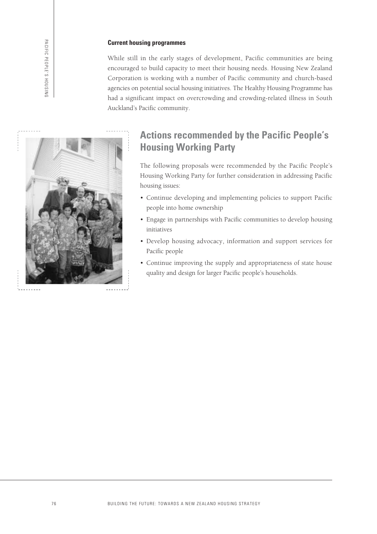## **Current housing programmes**

While still in the early stages of development, Pacific communities are being encouraged to build capacity to meet their housing needs. Housing New Zealand Corporation is working with a number of Pacific community and church-based agencies on potential social housing initiatives. The Healthy Housing Programme has had a significant impact on overcrowding and crowding-related illness in South Auckland's Pacific community.



## **Actions recommended by the Pacific People's Housing Working Party**

The following proposals were recommended by the Pacific People's Housing Working Party for further consideration in addressing Pacific housing issues:

- Continue developing and implementing policies to support Pacific people into home ownership
- Engage in partnerships with Pacific communities to develop housing initiatives
- Develop housing advocacy, information and support services for Pacific people
- Continue improving the supply and appropriateness of state house quality and design for larger Pacific people's households.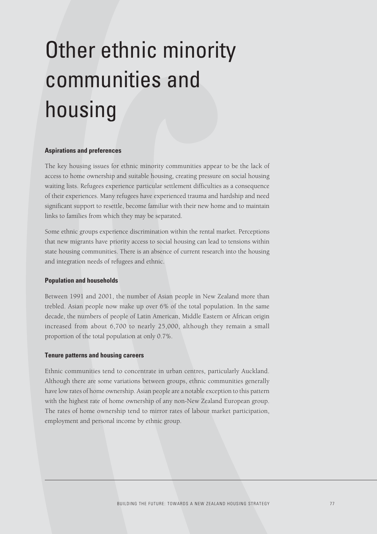# Other ethnic minority communities and housing

### **Aspirations and preferences**

The key housing issues for ethnic minority communities appear to be the lack of access to home ownership and suitable housing, creating pressure on social housing waiting lists. Refugees experience particular settlement difficulties as a consequence of their experiences. Many refugees have experienced trauma and hardship and need significant support to resettle, become familiar with their new home and to maintain links to families from which they may be separated.

Some ethnic groups experience discrimination within the rental market. Perceptions that new migrants have priority access to social housing can lead to tensions within state housing communities. There is an absence of current research into the housing and integration needs of refugees and ethnic.

### **Population and households**

Between 1991 and 2001, the number of Asian people in New Zealand more than trebled. Asian people now make up over 6% of the total population. In the same decade, the numbers of people of Latin American, Middle Eastern or African origin increased from about 6,700 to nearly 25,000, although they remain a small proportion of the total population at only 0.7%.

### **Tenure patterns and housing careers**

Ethnic communities tend to concentrate in urban centres, particularly Auckland. Although there are some variations between groups, ethnic communities generally have low rates of home ownership. Asian people are a notable exception to this pattern with the highest rate of home ownership of any non-New Zealand European group. The rates of home ownership tend to mirror rates of labour market participation, employment and personal income by ethnic group.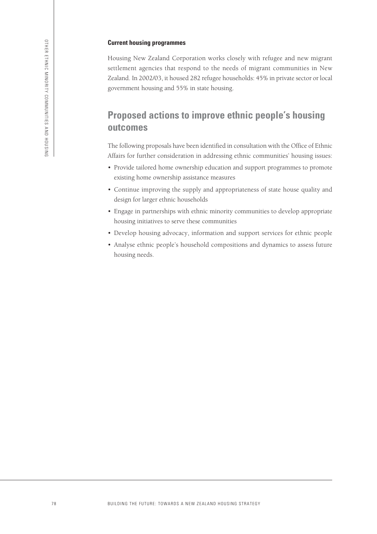### **Current housing programmes**

Housing New Zealand Corporation works closely with refugee and new migrant settlement agencies that respond to the needs of migrant communities in New Zealand. In 2002/03, it housed 282 refugee households: 45% in private sector or local government housing and 55% in state housing.

## **Proposed actions to improve ethnic people's housing outcomes**

The following proposals have been identified in consultation with the Office of Ethnic Affairs for further consideration in addressing ethnic communities' housing issues:

- Provide tailored home ownership education and support programmes to promote existing home ownership assistance measures
- Continue improving the supply and appropriateness of state house quality and design for larger ethnic households
- Engage in partnerships with ethnic minority communities to develop appropriate housing initiatives to serve these communities
- Develop housing advocacy, information and support services for ethnic people
- Analyse ethnic people's household compositions and dynamics to assess future housing needs.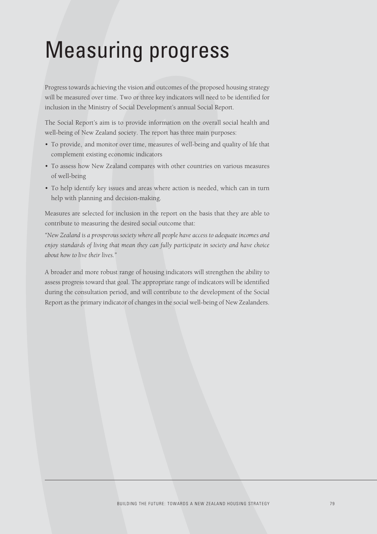## Measuring progress

Progress towards achieving the vision and outcomes of the proposed housing strategy will be measured over time. Two or three key indicators will need to be identified for inclusion in the Ministry of Social Development's annual Social Report.

The Social Report's aim is to provide information on the overall social health and well-being of New Zealand society. The report has three main purposes:

- To provide, and monitor over time, measures of well-being and quality of life that complement existing economic indicators
- To assess how New Zealand compares with other countries on various measures of well-being
- To help identify key issues and areas where action is needed, which can in turn help with planning and decision-making.

Measures are selected for inclusion in the report on the basis that they are able to contribute to measuring the desired social outcome that:

*"New Zealand is a prosperous society where all people have access to adequate incomes and enjoy standards of living that mean they can fully participate in society and have choice about how to live their lives."*

A broader and more robust range of housing indicators will strengthen the ability to assess progress toward that goal. The appropriate range of indicators will be identified during the consultation period, and will contribute to the development of the Social Report as the primary indicator of changes in the social well-being of New Zealanders.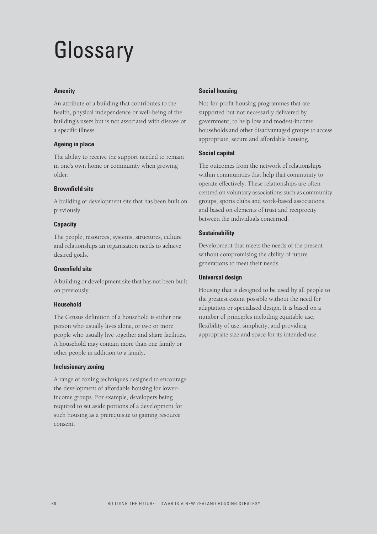## Glossary

### **Amenity**

An attribute of a building that contributes to the health, physical independence or well-being of the building's users but is not associated with disease or a specific illness.

## **Ageing in place**

The ability to receive the support needed to remain in one's own home or community when growing older.

## **Brownfield site**

A building or development site that has been built on previously.

### **Capacity**

The people, resources, systems, structures, culture and relationships an organisation needs to achieve desired goals.

### **Greenfield site**

A building or development site that has not been built on previously.

## **Household**

The Census definition of a household is either one person who usually lives alone, or two or more people who usually live together and share facilities. A household may contain more than one family or other people in addition to a family.

## **Inclusionary zoning**

A range of zoning techniques designed to encourage the development of affordable housing for lowerincome groups. For example, developers being required to set aside portions of a development for such housing as a prerequisite to gaining resource consent.

## **Social housing**

Not-for-profit housing programmes that are supported but not necessarily delivered by government, to help low and modest-income households and other disadvantaged groups to access appropriate, secure and affordable housing.

## **Social capital**

The outcomes from the network of relationships within communities that help that community to operate effectively. These relationships are often centred on voluntary associations such as community groups, sports clubs and work-based associations, and based on elements of trust and reciprocity between the individuals concerned.

## **Sustainability**

Development that meets the needs of the present without compromising the ability of future generations to meet their needs.

## **Universal design**

Housing that is designed to be used by all people to the greatest extent possible without the need for adaptation or specialised design. It is based on a number of principles including equitable use, flexibility of use, simplicity, and providing appropriate size and space for its intended use.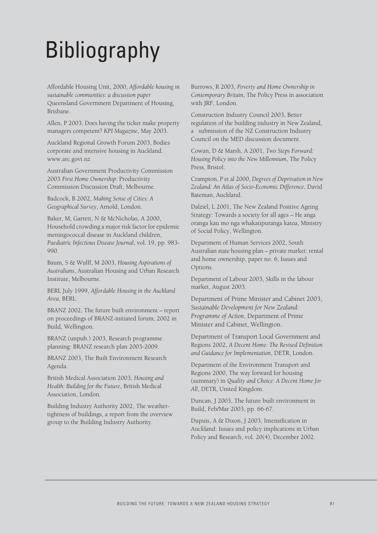## Bibliography

Affordable Housing Unit, 2000, *Affordable housing in sustainable communities: a discussion paper* Queensland Government Department of Housing, Brisbane.

Allen, P 2003, Does having the ticket make property managers competent? *KPI Magazine*, May 2003.

Auckland Regional Growth Forum 2003, Bodies corporate and intensive housing in Auckland. www.arc.govt.nz

Australian Government Productivity Commission 2003 *First Home Ownership*: Productivity Commission Discussion Draft, Melbourne.

Badcock, B 2002, *Making Sense of Cities: A Geographical Survey*, Arnold, London.

Baker, M, Garrett, N & McNicholas, A 2000, Household crowding a major risk factor for epidemic meningococcal disease in Auckland children, *Paediatric Infectious Disease Journal*, vol. 19, pp. 983- 990.

Baum, S & Wulff, M 2003, *Housing Aspirations of Australians*, Australian Housing and Urban Research Institute, Melbourne.

BERL July 1999, *Affordable Housing in the Auckland Area*, BERL.

BRANZ 2002, The future built environment – report on proceedings of BRANZ-initiated forum, 2002 in Build, Wellington.

BRANZ (unpub.) 2003, Research programme planning: BRANZ research plan 2003-2009.

BRANZ 2003, The Built Environment Research Agenda.

British Medical Association 2003, *Housing and Health: Building for the Future*, British Medical Association, London.

Building Industry Authority 2002, The weathertightness of buildings, a report from the overview group to the Building Industry Authority.

Burrows, R 2003, *Poverty and Home Ownership in Contemporary Britain*, The Policy Press in association with JRF, London.

Construction Industry Council 2003, Better regulation of the building industry in New Zealand, a submission of the NZ Construction Industry Council on the MED discussion document.

Cowan, D & Marsh, A 2001, *Two Steps Forward: Housing Policy into the New Millennium*, The Policy Press, Bristol.

Crampton, P et al 2000, *Degrees of Deprivation in New Zealand: An Atlas of Socio-Economic Difference*, David Bateman, Auckland.

Dalziel, L 2001, The New Zealand Positive Ageing Strategy: Towards a society for all ages – He anga oranga kau mo nga whakatipuranga katoa, Ministry of Social Policy, Wellington.

Department of Human Services 2002, South Australian state housing plan – private market: rental and home ownership, paper no. 6, Issues and Options.

Department of Labour 2003, Skills in the labour market, August 2003.

Department of Prime Minister and Cabinet 2003, *Sustainable Development for New Zealand: Programme of Action*, Department of Prime Minister and Cabinet, Wellington.

Department of Transport Local Government and Regions 2002, *A Decent Home: The Revised Definition and Guidance for Implementation*, DETR, London.

Department of the Environment Transport and Regions 2000, The way forward for housing (summary) in *Quality and Choice: A Decent Home for All*, DETR, United Kingdom.

Duncan, J 2003, The future built environment in Build, Feb/Mar 2003, pp. 66-67.

Dupuis, A & Dixon, J 2003, Intensification in Auckland: Issues and policy implications in Urban Policy and Research, vol. 20(4), December 2002.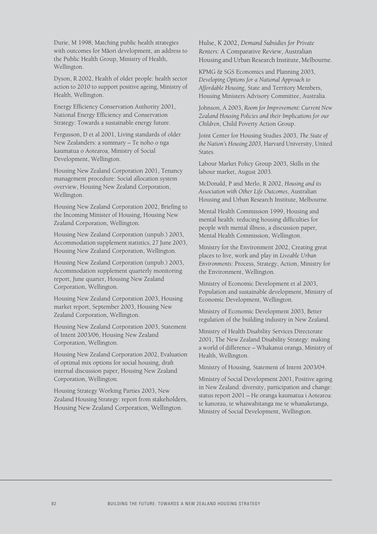Durie, M 1998, Matching public health strategies with outcomes for Māori development, an address to the Public Health Group, Ministry of Health, Wellington.

Dyson, R 2002, Health of older people: health sector action to 2010 to support positive ageing, Ministry of Health, Wellington.

Energy Efficiency Conservation Authority 2001, National Energy Efficiency and Conservation Strategy: Towards a sustainable energy future.

Fergusson, D et al 2001, Living standards of older New Zealanders: a summary – Te noho o nga kaumatua o Aotearoa, Ministry of Social Development, Wellington.

Housing New Zealand Corporation 2001, Tenancy management procedure: Social allocation system overview, Housing New Zealand Corporation, Wellington.

Housing New Zealand Corporation 2002, Briefing to the Incoming Minister of Housing, Housing New Zealand Corporation, Wellington.

Housing New Zealand Corporation (unpub.) 2003, Accommodation supplement statistics, 27 June 2003, Housing New Zealand Corporation, Wellington.

Housing New Zealand Corporation (unpub.) 2003, Accommodation supplement quarterly monitoring report, June quarter, Housing New Zealand Corporation, Wellington.

Housing New Zealand Corporation 2003, Housing market report, September 2003, Housing New Zealand Corporation, Wellington.

Housing New Zealand Corporation 2003, Statement of Intent 2003/06, Housing New Zealand Corporation, Wellington.

Housing New Zealand Corporation 2002, Evaluation of optimal mix options for social housing, draft internal discussion paper, Housing New Zealand Corporation, Wellington.

Housing Strategy Working Parties 2003, New Zealand Housing Strategy: report from stakeholders, Housing New Zealand Corporation, Wellington.

Hulse, K 2002, *Demand Subsidies for Private Renters*: A Comparative Review, Australian Housing and Urban Research Institute, Melbourne.

KPMG & SGS Economics and Planning 2003, *Developing Options for a National Approach to Affordable Housing*, State and Territory Members, Housing Ministers Advisory Committee, Australia.

Johnson, A 2003, *Room for Improvement: Current New Zealand Housing Policies and their Implications for our Children*, Child Poverty Action Group.

Joint Center for Housing Studies 2003, *The State of the Nation's Housing 2003*, Harvard University, United States.

Labour Market Policy Group 2003, Skills in the labour market, August 2003.

McDonald, P and Merlo, R 2002, *Housing and its Association with Other Life Outcomes*, Australian Housing and Urban Research Institute, Melbourne.

Mental Health Commission 1999, Housing and mental health: reducing housing difficulties for people with mental illness, a discussion paper, Mental Health Commission, Wellington.

Ministry for the Environment 2002, Creating great places to live, work and play in *Liveable Urban Environments*: Process, Strategy, Action, Ministry for the Environment, Wellington.

Ministry of Economic Development et al 2003, Population and sustainable development, Ministry of Economic Development, Wellington.

Ministry of Economic Development 2003, Better regulation of the building industry in New Zealand.

Ministry of Health Disability Services Directorate 2001, The New Zealand Disability Strategy: making a world of difference – Whakanui oranga, Ministry of Health, Wellington.

Ministry of Housing, Statement of Intent 2003/04.

Ministry of Social Development 2001, Positive ageing in New Zealand: diversity, participation and change: status report 2001 – He oranga kaumatua i Aotearoa: te kanorau, te whaiwahitanga me te whanaketanga, Ministry of Social Development, Wellington.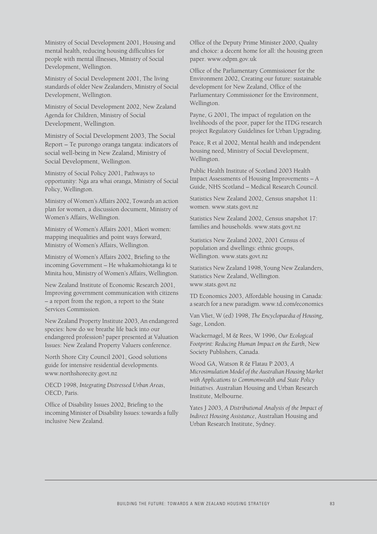Ministry of Social Development 2001, Housing and mental health, reducing housing difficulties for people with mental illnesses, Ministry of Social Development, Wellington.

Ministry of Social Development 2001, The living standards of older New Zealanders, Ministry of Social Development, Wellington.

Ministry of Social Development 2002, New Zealand Agenda for Children, Ministry of Social Development, Wellington.

Ministry of Social Development 2003, The Social Report – Te purongo oranga tangata: indicators of social well-being in New Zealand, Ministry of Social Development, Wellington.

Ministry of Social Policy 2001, Pathways to opportunity: Nga ara whai oranga, Ministry of Social Policy, Wellington.

Ministry of Women's Affairs 2002, Towards an action plan for women, a discussion document, Ministry of Women's Affairs, Wellington.

Ministry of Women's Affairs 2001, Māori women: mapping inequalities and point ways forward, Ministry of Women's Affairs, Wellington.

Ministry of Women's Affairs 2002, Briefing to the incoming Government – He whakamohiotanga ki te Minita hou, Ministry of Women's Affairs, Wellington.

New Zealand Institute of Economic Research 2001, Improving government communication with citizens – a report from the region, a report to the State Services Commission.

New Zealand Property Institute 2003, An endangered species: how do we breathe life back into our endangered profession? paper presented at Valuation Issues: New Zealand Property Valuers conference.

North Shore City Council 2001, Good solutions guide for intensive residential developments. www.northshorecity.govt.nz

OECD 1998, *Integrating Distressed Urban Areas*, OECD, Paris.

Office of Disability Issues 2002, Briefing to the incoming Minister of Disability Issues: towards a fully inclusive New Zealand.

Office of the Deputy Prime Minister 2000, Quality and choice: a decent home for all: the housing green paper. www.odpm.gov.uk

Office of the Parliamentary Commissioner for the Environment 2002, Creating our future: sustainable development for New Zealand, Office of the Parliamentary Commissioner for the Environment, Wellington.

Payne, G 2001, The impact of regulation on the livelihoods of the poor, paper for the ITDG research project Regulatory Guidelines for Urban Upgrading.

Peace, R et al 2002, Mental health and independent housing need, Ministry of Social Development, Wellington.

Public Health Institute of Scotland 2003 Health Impact Assessments of Housing Improvements – A Guide, NHS Scotland – Medical Research Council.

Statistics New Zealand 2002, Census snapshot 11: women. www.stats.govt.nz

Statistics New Zealand 2002, Census snapshot 17: families and households. www.stats.govt.nz

Statistics New Zealand 2002, 2001 Census of population and dwellings: ethnic groups, Wellington. www.stats.govt.nz

Statistics New Zealand 1998, Young New Zealanders, Statistics New Zealand, Wellington. www.stats.govt.nz

TD Economics 2003, Affordable housing in Canada: a search for a new paradigm. www.td.com/economics

Van Vliet, W (ed) 1998, *The Encyclopaedia of Housing*, Sage, London.

Wackernagel, M & Rees, W 1996, *Our Ecological Footprint: Reducing Human Impact on the Earth*, New Society Publishers, Canada.

Wood GA, Watson R & Flatau P 2003, *A Microsimulation Model of the Australian Housing Market with Applications to Commonwealth and State Policy Initiatives*. Australian Housing and Urban Research Institute, Melbourne.

Yates J 2003, *A Distributional Analysis of the Impact of Indirect Housing Assistance*, Australian Housing and Urban Research Institute, Sydney.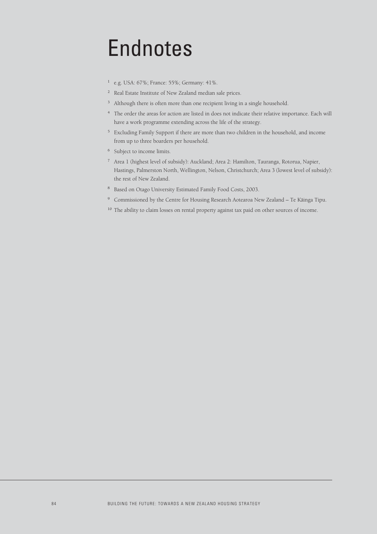## Endnotes

- <sup>1</sup> e.g. USA: 67%; France: 55%; Germany: 41%.
- <sup>2</sup> Real Estate Institute of New Zealand median sale prices.
- <sup>3</sup> Although there is often more than one recipient living in a single household.
- <sup>4</sup> The order the areas for action are listed in does not indicate their relative importance. Each will have a work programme extending across the life of the strategy.
- <sup>5</sup> Excluding Family Support if there are more than two children in the household, and income from up to three boarders per household.
- <sup>6</sup> Subject to income limits.
- <sup>7</sup> Area 1 (highest level of subsidy): Auckland; Area 2: Hamilton, Tauranga, Rotorua, Napier, Hastings, Palmerston North, Wellington, Nelson, Christchurch; Area 3 (lowest level of subsidy): the rest of New Zealand.
- <sup>8</sup> Based on Otago University Estimated Family Food Costs, 2003.
- <sup>9</sup> Commissioned by the Centre for Housing Research Aotearoa New Zealand Te Käinga Tipu.
- <sup>10</sup> The ability to claim losses on rental property against tax paid on other sources of income.